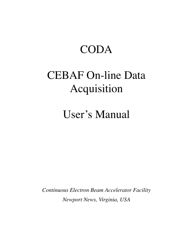# CODA

# CEBAF On-line Data Acquisition

## User's Manual

*Continuous Electron Beam Accelerator Facility Newport News, Virginia, USA*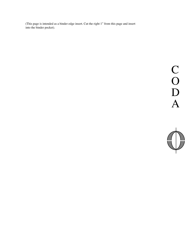(This page is intended as a binder edge insert. Cut the right 1" from this page and insert into the binder pocket).

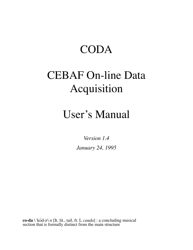# CODA

# CEBAF On-line Data Acquisition

## User's Manual

*Version 1.4 January 24, 1995*

co-da \ 'kod-a\ n [It. lit., tail, fr. L *cauda*] : a concluding musical section that is formally distinct from the main structure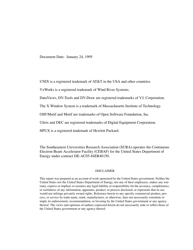Document Date: January 24, 1995

UNIX is a registered trademark of AT&T in the USA and other countries.

VxWorks is a registered trademark of Wind River Systems.

DataViews, DV-Tools and DV-Draw are registered trademarks of V.I. Corporation.

The X Window System is a trademark of Massachusetts Institute of Technology.

OSF/Motif and Motif are trademarks of Open Software Foundation, Inc.

Ultrix and DEC are registered trademarks of Digital Equipment Corporation.

HPUX is a registered trademark of Hewlett Packard.

The Southeastern Universities Research Association (SURA) operates the Continuous Electron Beam Accelerator Facility (CEBAF) for the United States Department of Energy under contract DE-AC05-84ER40150.

#### DISCLAIMER

This report was prepared as an account of work sponsored by the United States government. Neither the United States nor the United States Department of Energy, nor any of their employees, makes any warranty, express or implied, or assumes any legal liability or responsibility for the accuracy, completeness, or usefulness of any information, apparatus, product, or process disclosed, or represents that its use would not infringe privately owned rights. Reference herein to any specific commercial product, process, or service by trade name, mark, manufacturer, or otherwise, does not necessarily constitute or imply its endorsement, recommendation, or favoring by the United States government or any agency thereof. The views and opinions of authors expressed herein do not necessarily state or reflect those of the United States government or any agency thereof.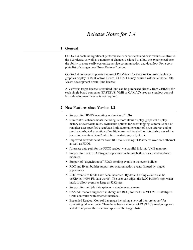### *Release Notes for 1.4*

#### **1 General**

CODA 1.4 contains significant performance enhancements and new features relative to the 1.2 release, as well as a number of changes designed to allow the experienced user the ability to more easily customize service communication and data flow. For a complete list of changes, see "New Features" below.

CODA 1.4 no longer supports the use of DataViews for the SlowControls display or graphics display in RunControl. Hence, CODA 1.4 may be used without either a Data-Views development or run-time license.

A VxWorks target license is required (and can be purchased directly from CEBAF) for each single board computer (FASTBUS, VME or CAMAC) used as a readout controller; a development license is not required.

#### **2 New Features since Version 1.2**

- Support for HP-UX operating system (as of 1.3b).
- RunControl enhancements including: remote status display, graphical display history of event/data rates, switchable options for event logging, automatic halt of run after user specified event/data limit, automatic restart of a run after an end or service crash, and execution of multiple user written shell scripts during any of the transition events of RunControl (i.e. prestart, go, end, etc...).
- Improved network dataflow from ROC to EB using TCP streams over both ethernet as well as FDDI.
- Alternate data path for the FSCC readout via parallel link into VME memory.
- Support for the CEBAF trigger supervisor including both software and hardware modules.
- Support of "asynchronous" ROCs sending events to the event builder.
- ROC and Event builder support for syncronization events (issued by trigger supervisor).
- ROC event size limits have been increased. By default a single event can be 16KBytes (4096 FB data words). The user can adjust the ROC buffer's high water mark to allow events as large as 32Kbytes.
- Support for multiple data spies on a single event stream.
- CAMAC readout supported (Library and ROC) for the CES VCC2117 Intelligent Crate controller with ethernet interface.
- Expanded Readout Control Language including a new crl interpreter *ccrl* for converting crl --> c code. There have been a number of FASTBUS readout options added to improve the execution speed of the trigger lists.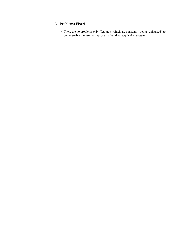### **3 Problems Fixed**

 • There are no problems only "features" which are constantly being "enhanced" to better enable the user to improve his/her data acquisition system.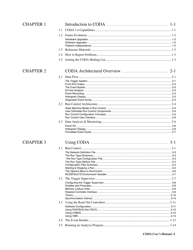| <b>CHAPTER 1</b> |     |  |
|------------------|-----|--|
|                  |     |  |
|                  |     |  |
|                  |     |  |
|                  |     |  |
|                  |     |  |
|                  | 1.3 |  |
|                  |     |  |
|                  | 1.5 |  |
| <b>CHAPTER 2</b> |     |  |
|                  | 2.1 |  |
|                  |     |  |
|                  |     |  |
|                  |     |  |
|                  |     |  |
|                  |     |  |
|                  |     |  |
|                  |     |  |
|                  |     |  |
|                  |     |  |
|                  |     |  |
|                  |     |  |
|                  |     |  |
|                  |     |  |
|                  |     |  |
|                  |     |  |
| <b>CHAPTER 3</b> |     |  |
|                  | 3.1 |  |
|                  |     |  |
|                  |     |  |
|                  |     |  |
|                  |     |  |
|                  |     |  |
|                  |     |  |
|                  |     |  |
|                  | 3.2 |  |
|                  |     |  |
|                  |     |  |
|                  |     |  |
|                  |     |  |
|                  |     |  |
|                  |     |  |
|                  | 3.3 |  |
|                  |     |  |
|                  |     |  |
|                  |     |  |
|                  | 3.4 |  |
|                  | 3.5 |  |
|                  |     |  |

**CODA** User's Manual -1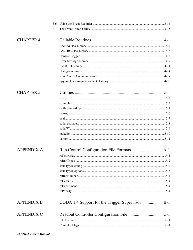|                   | 3.7 |  |
|-------------------|-----|--|
|                   |     |  |
| <b>CHAPTER 4</b>  |     |  |
|                   |     |  |
|                   |     |  |
|                   |     |  |
|                   |     |  |
|                   |     |  |
|                   |     |  |
|                   |     |  |
|                   |     |  |
| <b>CHAPTER 5</b>  |     |  |
|                   |     |  |
|                   |     |  |
|                   |     |  |
|                   |     |  |
|                   |     |  |
|                   |     |  |
|                   |     |  |
|                   |     |  |
|                   |     |  |
| <b>APPENDIX A</b> |     |  |
|                   |     |  |
|                   |     |  |
|                   |     |  |
|                   |     |  |
|                   |     |  |
|                   |     |  |
|                   |     |  |
|                   |     |  |
| <b>APPENDIX B</b> |     |  |
| <b>APPENDIX C</b> |     |  |
|                   |     |  |
|                   |     |  |
|                   |     |  |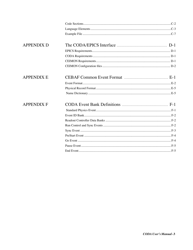| <b>APPENDIX D</b> |  |
|-------------------|--|
|                   |  |
|                   |  |
|                   |  |
|                   |  |
| <b>APPENDIX E</b> |  |
|                   |  |
|                   |  |
|                   |  |
| <b>APPENDIX F</b> |  |
|                   |  |
|                   |  |
|                   |  |
|                   |  |
|                   |  |
|                   |  |
|                   |  |
|                   |  |
|                   |  |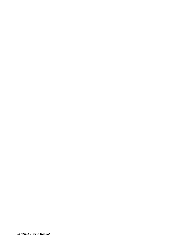**-4** *CODA User's Manual*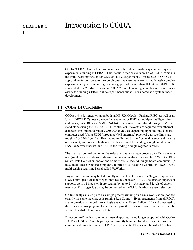**1**

CODA (CEBAF Online Data Acquisition) is the data acquisition system for physics experiments running at CEBAF. This manual describes version 1.4 of CODA, which is the initial working version for CEBAF Hall C experiments. This release of CODA is appropriate for both detector prototyping/testing systems as well as moderately complex experimental systems requiring I/O throughputs of greater than 1Mbyte/sec (FDDI). It is intended as a "bridge" release to CODA 2.0 implementing a number of features necessary for running CEBAF online experiments but still considered as a system under development.

### **1.1 CODA 1.4 Capabilities**

CODA 1.4 is designed to run on both an HP\_UX (Hewlett-Packard/RISC) as well as an Ultrix (DEC/RISC) host, connected via ethernet or FDDI to multiple intelligent front end crates, FASTBUS and VME. CAMAC crates may be interfaced through VME or stand alone (using the CES VCC2117 controller). If events are acquired over ethernet, data rates are limited to roughly 250-700 kbytes/sec depending upon the single board computer used. Using FDDI (through a VME interface) practical data rate limits are roughly 2.5-3.0MBytes/sec. Event rates are limited by the front end latency and the size of the event, with rates as high as 2-3 kHz measured for reading a single module in FASTBUS over ethernet, and 16 kHz for reading a single register in VME.

The main run control portion of the software runs as a single process on a Unix workstation (single user operation), and can communicate with one or more FSCC's (FASTBUS Smart Crate Controller) and/or one or more VME/CAMAC single board computers, up to 32 total. These front end computers, referred to as Read Out Controllers (ROC), run a multi-tasking real-time kernel called VxWorks.

Trigger information may be fed directly into each ROC or into the Trigger Supervisor (TS), a high speed custom trigger interface designed at CEBAF. The Trigger Supervisor supports up to 12 inputs with pre-scaling by up to  $2^{24}$ . As many as 3 levels of experiment specific trigger logic may be connected to the TS for hardware event selection.

On-line analysis takes place as a single process running on a Unix workstation (not necessarily the same machine as is running Run Control). Event fragments from all ROC's are automatically merged into a single event by an Event Builder (EB) and presented to the user's analysis program. Events which pass the user's selection criteria may then be written to a disk file or directly to tape.

Direct control/monitoring of experimental apparatus is no longer supported with CODA 1.4. The old Slow Controls package is currently being replaced with an interprocess communications interface with EPICS (Experimental Physics and Industrial Control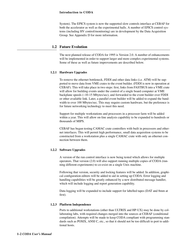#### **Introduction to CODA**

System). The EPICS system is now the supported slow controls interface at CEBAF for both the accelerator as well as the experimental halls. A number of EPICS control systems (including HV control/monitoring) are in development by the Data Acquisition Group. See Appendix D for more information.

#### **1.2 Future Evolution**

The next planned release of CODA for 1995 is Version 2.0. A number of enhancements will be implemented in order to support larger and more complex experimental systems. Some of these as well as future improvements are described below.

#### **1.2.1 Hardware Upgrades**

To remove the ethernet bottleneck, FDDI and other data links (i.e. ATM) will be supported to move data from VME crates to the event builder. (FDDI is now in operation at CEBAF). This will take place in two steps: first, links from FASTBUS into a VME crate will allow for building events under the control of a single board computer at VME backplane speeds  $(\sim 10-15 \text{ Mbytes/sec})$ , and forwarded to the event builder over FDDI or other available link. Later, a parallel event builder will be added to expand the bandwidth to over 100 Mbytes/sec. This may require custom hardware, but the preference is for future networking technology to meet this need.

Support for multiple workstations and processors in a processor farm will be added within a year. This will allow on-line analysis capability to be expanded to hundreds or thousands of MIPS.

CEBAF has begun testing CAMAC crate controllers with built in processors and ethernet interfaces. This will permit high performance, small data acquisition systems to be constructed from a workstation plus a single CAMAC crate with only an ethernet connection between them.

#### **1.2.2 Software Upgrades**

A version of the run control interface is now being tested which allows for multiple operators. That version (2.0) will also support running multiple copies of CODA (running different experiments) to co-exist on a single Unix machine.

Following that version, security and locking features will be added. In addition, graphical configuration editors will be added to aid in setting up CODA. Error logging and handling capabilities will be greatly enhanced by a new distributed message handler, which will include logging and report generation capability.

Data logging will be expanded to include support for labelled tapes (DAT and 8mm at first).

#### **1.2.3 Platform Independence**

Ports to additional workstations (other than ULTRIX and HP-UX) may be done by collaborating labs, with required changes merged into the sources at CEBAF (conditional compilation). Attempts will be made to keep CODA compliant with programming standards such as POSIX, ANSI C, etc., so that it should not be too difficult to port to additional hosts.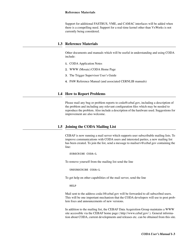#### **Reference Materials**

Support for additional FASTBUS, VME, and CAMAC interfaces will be added when there is a compelling need. Support for a real-time kernel other than VxWorks is not currently being considered.

#### **1.3 Reference Materials**

Other documents and manuals which will be useful in understanding and using CODA include:

- **1.** CODA Application Notes
- **2.** WWW (Mosaic) CODA Home Page
- **3.** The Trigger Supervisor User's Guide
- **4.** PAW Reference Manual (and associated CERNLIB manuals)

#### **1.4 How to Report Problems**

Please mail any bug or problem reports to coda@cebaf.gov, including a description of the problem and including any relevant configuration files which may be needed to reproduce the problem. Also include a description of the hardware used. Suggestions for improvement are also welcome.

#### **1.5 Joining the CODA Mailing List**

CEBAF is now running a mail server which supports user subscribable mailing lists. To improve communications with CODA users and interested parties, a new mailing list has been created. To join the list, send a message to mailserv@cebaf.gov containing the line:

SUBSCRIBE CODA-L

To remove yourself from the mailing list send the line

UNSUBSCRIBE CODA-L

To get help on other capabilities of the mail server, send the line

HELP

Mail sent to the address coda-l@cebaf.gov will be forwarded to all subscribed users. This will be one important mechanism that the CODA developers will use to post problem fixes and announcements of new versions.

In addition to the mailing list, the CEBAF Data Acquisition Group maintains a WWW site accessible via the CEBAF home page ( http://www.cebaf.gov/ ). General information about CODA, current developments and releases etc. can be obtained from this site.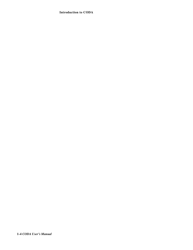**Introduction to CODA**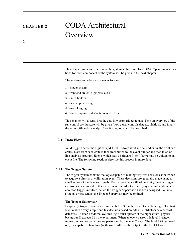**2**

### **CHAPTER <sup>2</sup>** CODA Architectural **Overview**

This chapter gives an overview of the system architecture for CODA. Operating instructions for each component of the system will be given in the next chapter.

The system can be broken down as follows:

- **1.** trigger system
- **2.** front end crates (digitizers, etc.)
- **3.** event builder
- **4.** on-line processing
- **5.** event logging
- **6.** host computer and X-windows displays

This chapter will discuss first the data flow from trigger to tape. Next an overview of the run control architecture will be given (how a user controls data acquisition), and finally the set of offline data analysis/monitoring tools will be described.

#### **2.1 Data Flow**

Valid triggers cause the digitizers(ADC/TDC) to convert and be read out in the front end crates. Data from each crate is then transmitted to the event builder and then to an online analysis program. Events which pass a software filter (if any) may be written to an event file. The following sections describe this process in more detail.

#### **2.1.1 The Trigger System**

The trigger system contains the logic capable of making very fast decisions about when to acquire a physics or calibration event. These decisions are generally made using a small subset of the detector signals. Each experiment will, of necessity, design trigger electronics customized to that experiment. In order to simplify system integration, a common trigger interface, called the Trigger Supervisor, has been designed. For small systems or test setups, the Trigger Supervisor may be omitted.

#### **The Trigger Supervisor**

Frequently, trigger systems are built with 2 or 3 levels of event selection logic. The first level makes a very simple and fast decision based on hits in scintillators or other fast detectors. To keep deadtime low, this logic must operate at the highest rate (physics + background) expected by the experiment. When an event passes this level 1 trigger, more complex computations are performed by the level 2 logic. The level 2 trigger need only be capable of handling (with low deadtime) the output of the level 1 logic.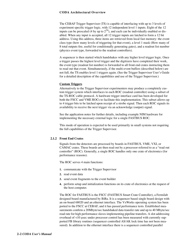#### **CODA Architectural Overview**

The CEBAF Trigger Supervisor (TS) is capable of interfacing with up to 3 levels of experiment specific trigger logic, with 12 independent level 1 inputs. Eight of the 12 inputs can be prescaled (4 by up to  $2^{24}$ ), and each can be individually enabled or disabled. When any input is accepted, all 12 trigger inputs are latched to form a 12 bit address. Using this address, three items are retrieved from local fast memory: the event class type (how many levels of triggering for that event), a level 1 mask (How many of 8 total outputs fire, useful for conditionally generating gates), and a readout list number (physics event type, forwarded to the readout controllers).

A sequencer is then started which handshakes with any higher level trigger logic. Once a trigger passes the highest level trigger and the digitizers have completed their work, the event type (readout list number) is forwarded to all front end crates instructing them to read out that event. Simultaneously, if the multi-event buffers (described below) are not full, the TS enables level 1 triggers again. (See the Trigger Supervisor User's Guide for a detailed description of the capabilities and use of the Trigger Supervisor.)

#### **Custom Triggers**

Alternatively to the Trigger Supervisor experimenters may produce a completely custom trigger system which interfaces to each ROC (readout controller) using a subset of the TS-ROC cable protocol. A hardware trigger interface card has been developed for both the FSCC and VME ROCs to facilitate this implementation. This subset allows up to 4 trigger bits to be latched upon receipt of a strobe signal. Then each ROC signals its availability to receive the next trigger via an acknowledge (output) signal.

See the application notes for further details, including example NIM hardware for implementing the necessary external logic for a single FASTBUS ROC.

This mode of operation is expected to be used primarily in small systems not requiring the full capabilities of the Trigger Supervisor.

#### **2.1.2 Front End Crates**

Signals from the detectors are processed by boards in FASTBUS, VME, VXI, or CAMAC crates. These boards are then read out by a processor referred to as a "read out controller" (ROC). Generally, a single ROC handles only one crate of electronics (for performance reasons).

The ROC serves 4 main functions:

- **1.** communicate with the Trigger Supervisor
- **2.** read event data
- **3.** send event fragments to the event builder
- **4.** perform setup and initialization functions on its crate of electronics at the request of the host computer.

The ROC for FASTBUS is the FSCC (FASTBUS Smart Crate Controller), a Fermilab designed board manufactured by BiRa. It is a sequencer based single board design with an on-board 68020 and an ethernet interface. The VxWorks operating system has been ported to the FSCC at CEBAF, and it has passed performance tests. Established measurements confirm a 20Mbyte/sec handshaked data transfer rate and up to 40 Mbyte/sec read rate for high performance slaves implementing pipeline transfers. A slot addressing overhead of <10 µsec under processor control has been measured with currently supported FB library routines (sequencer controlled AS/AK lock time has not been measured). In addition to the ethernet interface there is a sequencer controlled parallel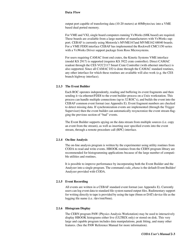#### **Data Flow**

output port capable of transferring data (10-20 meters) at 40Mbytes/sec into a VME based dual ported memory.

For VME and VXI, single board computers running VxWorks (68K based) are required. These boards are available from a large number of manufacturers with VxWorks support. CEBAF is currently using Motorola's MVME167and MVME162 68040 boards. For a VME FDDI interface CEBAF has implemented the Rockwell CMC1150 series with a VxWorks Driver support package from Ross Microsystems.

For users requiring CAMAC front end crates, the Kinetic Systems VME interface (model KS 2917) is supported (requires KS 3922 crate controller). Direct CAMAC readout through the CES VCC2117 Smart Crate Controller (with ethernet interface) is also supported. Since all CAMAC I/O is done through the CAMAC standard routines, any other interface for which these routines are available will also work (e.g. the CES branch highway interface).

#### **2.1.3 The Event Builder**

Each ROC operates independently, reading and buffering its event fragments and then sending it via ethernet/FDDI to the event builder process on a Unix workstation. This process can handle multiple connections (up to 32 ROC's), and builds the event into the CEBAF common event format (see Appendix E). Event fragment numbers are checked to detect missing data. If synchronization events are implemented (through the Trigger Supervisor) then the event builder can automatically resyncronize the event stream flagging the previous section of "bad" events.

The Event Builder supports spying on the data stream from multiple sources (i.e. copy an event from the stream), as well as inserting user specified events into the event stream, through a remote procedure call (RPC) interface.

#### **2.1.4 On-line Analysis**

The on-line analysis program is written by the experimenter using utility routines from CODA to read and write events. HBOOK routines from the CERN program library are recommended for histogramming applications because of the large number of compatible utilities and routines.

It is possible to improve performance by incorporating both the Event Builder and the Analyzer into a single program. The command *coda\_ebana* is the default Event Builder/ Analyzer provided with CODA.

#### **2.1.5 Event Recording**

All events are written in a CEBAF standard event format (see Appendix E). Currently users can log event data to standard file system named output files. Rudimentary support for writing directly to tape is provided by using the tape (8mm or DAT) device file as the logging file name (i.e. /dev/rmt/0mn).

#### **2.1.6 Histogram Display**

The CERN program PAW (Physics Analysis Workstation) may be used to interactively display HBOOK histograms either live (ULTRIX only) or stored on disk. This very large and capable program includes data manipulations, peak fitting, and many other features. (See the PAW Reference Manual for more information).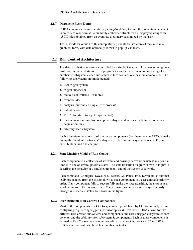#### **2.1.7 Diagnostic Event Dump**

CODA contains a diagnostic utility (*cefdmp*/*xcefdmp*) to print the contents of an event in an easy to read format. Recursively embedded structures are displayed along with ASCII titles obtained from an event tag dictionary customized by the user.

The X-windows version of this dump utility presents the structure of the event in a graphical form, with data optionally shown in pop-up windows.

#### **2.2 Run Control Architecture**

The data acquisition system is controlled by a single Run Control process running on a host machine or workstation. This program views the experiment as consisting of a number of subsystems; each subsystem in turn contains one or more components. The following subsystems are implemented:

- **1.** user trigger system
- **2.** trigger supervisor
- **3.** readout controllers (1 or more)
- **4.** event builder
- **5.** analysis (currently a single Unix process)
- **6.** output device
- **7.** EPICS Interface (not yet implemented)
- **8.** data acquisition run (this conceptual subsystem describes the behavior of a data acquisition run)
- **9.** arbitrary user subsystem

Each subsystem may consist of 0 or more components (i.e. there may be 3 ROC's making up the "readout controllers" subsystem). The minimum system is one ROC, one event builder, and one analyzer.

#### **2.2.1 State Machine Model of Run Control**

Each component is a collection of software and possibly hardware which at any point in time is in one of several possible states. The state transition diagram shown in Figure 1 describes the behavior of a single component, and of the system as a whole.

Each command (Configure, Download, Prestart, Go, Pause, End, Terminate) is automatically propagated from the system down to each component in a user definable priority order. If any component fails to successfully make the state transition, the system as a whole remains in the previous state. Many transitions are performed asychronously through intermediate states not shown in the figure.

#### **2.2.2 User Definable Run Control Components**

Most of the components in a CODA system are pre-defined by CODA and only require configuring (e.g. setting trigger supervisor options). However, CODA allows for two different user created subsystems and components: the user's trigger subsystem & components, and the arbitrary user subsystem & components. Each of these components is defined to Run Control as a remote procedure callable (RPC) service. (The CODA/ EPICS interface will also be defined in this context.)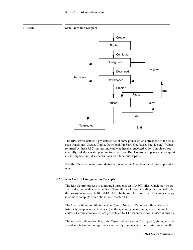#### **Run Control Architecture**



**FIGURE 1** State Transition Diagram



The RPC server defines a pre-defined set of entry points which correspond to the set of state transitions (Create, Config, Download, PreStart, Go, Pause, End, Delete). Values returned by these RPC routines indicate whether the requested action completed successfully, failed, or is still pending (in which case Run Control will periodically request a status update until it succeeds, fails, or a time-out elapses).

Details of how to create a user defined component will be given in a future application note.

#### **2.2.3 Run Control Configuration Concepts**

The Run Control process is configured through a set of ASCII files, which may be created and edited with any text editor. These files are located in a directory pointed to by the environment variable RCDATABASE. In the simplest case, three files are necessary. (For more complete descriptions, see Chapter 3.)

The first configuration file is the Run Control Network Definition File, *rcNetwork*. It lists each component (RPC service) in the system by name, and gives its internet address. Certain components are pre-defined by CODA and are not included in this file.

The second configuration file, *rcRunTypes*, defines a set of "run types", giving a correspondence between run type names and run type numbers. (Prior to starting a run, the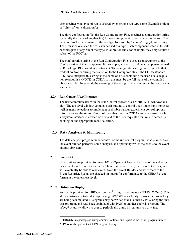#### **CODA Architectural Overview**

user specifies what type of run is desired by entering a run type name. Examples might be "physics" or "calibration".)

The third configuration file, the Run Configuration File, specifies a configuration string (generally the name of another file) for each component to be included in the run. The name of this file is the name of the run type followed by ".config", e.g. *physics*.*config*. There must be one such file for each defined run type. Each component listed in this file becomes part of any run of that type. (Calibration runs, for example, may only require a subset of the ROC's).

The configuration string in the Run Configuration File is used as an argument to the Config routine of that component. For example, a user may define a component named ROC3 of type ROC (readout controller). The configuration string will be sent to that readout controller during the transition to the Configured state. The CODA standard ROC code interprets this string as the name of a file containing the user's data acquisition readout lists (NOTE: in CODA 1.4, this must be the full name of the compiled object module). In general, the meaning of the string is dependent upon the component server code.

#### **2.2.4 Run Control User Interface**

The user communicates with the Run Control process via a Motif  $(X11)$  windows display. The top level window contains push buttons to control a run (state transitions), as well as menu selections to implement or disable various experiment control options. Information on the status of most of the subsystems in CODA can be accessed, each subsystem interface is created on demand as the user requests a subsystem screen by clicking on the appropriate menu selection.

#### **2.3 Data Analysis & Monitoring**

The data analysis program, under control of the run control program, reads events from the event builder, performs some analysis, and optionally writes the events to the event output subsystem.

#### **2.3.1 Event I/O**

Five routines are provided for event I/O: evOpen, evClose, evRead, evWrite and evIoctl (see Chapter 4, Event I/O routines). These routines currently perform I/O to files, and will eventually be able to read events from the Event Builder and write them to the Event Recorder. Events are checked on output for conformance to the CEBAF event format at the outermost level.

#### **2.3.2 Histogram Display**

Support is provided for HBOOK routines<sup>1</sup> using shared memory (ULTRIX Only). This allows histograms to be displayed using  $PAW^2$  (Physics Analysis Workstation) as they are being accumulated. Histograms may be written to disk either by PAW or by the analysis program, and read back again later with PAW or another analysis program. The *cdumphist* utility allows to user to periodically dump histograms to a disk file.

<sup>1.</sup> HBOOK is a package of histogramming routines, and is part of the CERN program library.

<sup>2.</sup> PAW is also part of the CERN program library.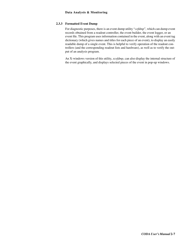#### **2.3.3 Formatted Event Dump**

For diagnostic purposes, there is an event dump utility "*cefdmp*", which can dump event records obtained from a readout controller, the event builder, the event logger, or an event file. This program uses information contained in the event, along with an event tag dictionary (which gives names and titles for each piece of an event), to display an easily readable dump of a single event. This is helpful to verify operation of the readout controllers (and the corresponding readout lists and hardware), as well as to verify the output of an analysis program.

An X-windows version of this utility, *xcefdmp*, can also display the internal structure of the event graphically, and displays selected pieces of the event in pop-up windows.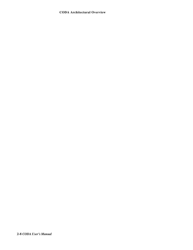#### **CODA Architectural Overview**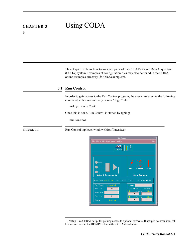### **CHAPTER <sup>3</sup>** Using CODA

**3**

This chapter explains how to use each piece of the CEBAF On-line Data Acquisition (CODA) system. Examples of configuration files may also be found in the CODA online examples directory (\$CODA/examples/).

### **3.1 Run Control**

In order to gain access to the Run Control program, the user must execute the following command, either interactively or in a ".login" file<sup>1</sup>:

setup coda/1.4

Once this is done, Run Control is started by typing:

RunControl

**FIGURE 1.1** Run Control top level window (Motif Interface)



<sup>1. &</sup>quot;setup" is a CEBAF script for gaining access to optional software. If setup is not available, follow instructions in the README file in the CODA distribution.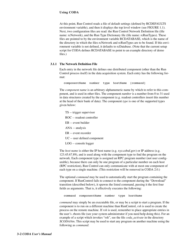#### **Using CODA**

At this point, Run Control reads a file of default settings (defined by RCDEFAULTS environment variable), and then it displays the top level window (see FIGURE 1.1). Next, two configuration files are read: the Run Control Network Definition file (file name: rcNetwork), and the Run Type Dictionary file (file name: rcRunTypes). These files are pointed to by the environment variable RCDATABASE, which is the name of the directory in which the files rcNetwork and rcRunTypes are to be found. If this environment variable is not defined, it defaults to rcDatabase. (Note that the current setup script for CODA defines RCDATABASE to point to an example directory of demo files.)

#### **3.1.1 The Network Definition File**

Each entry in the network file defines one distributed component (other than the Run Control process itself) in the data acquisition system. Each entry has the following format:

componentName number type hostName [command]

The *component name* is an arbitrary alphanumeric name by which to refer to this component, and is used in other files. The component *number* is a number from 0 to 31 used in data structures created by the component (e.g. readout controllers insert this number at the head of their bank of data). The component *type* is one of the supported types given below:

TS -- trigger supervisor ROC -- readout controller EB -- event builder ANA -- analysis ER -- event recorder UC -- user defined component LOG -- console logger

The *host name* is either the IP host name (e.g. xyz.cebaf.gov) or IP address (e.g. 123.45.67.89), and is used along with the component type to find the program on the network. Each component type is assigned an RPC program number (not user configurable), because there can only be one program of a particular number on each host (RPC restriction), Run Control can only communicate with at most one component of each type on a single machine. (This restriction will be removed in CODA 2.0.)

The optional *command* may be used to automatically start the program containing the component. If RunControl fails to connect to the component during the "Download" transition (described below), it spawns the listed command, passing it the first four fields as arguments. That is, it effectively executes the following:

command componentName number type hostName

*command* may simply be an executable file, or may be a script to start a program. If the component is to run on a different machine than RunControl, *rsh* is used to create the process on the remote machine. If *rsh* is used, remember to place appropriate entries in the user's .rhosts file (see your system administrator if you need help doing this). For an example of a script which invokes "rsh", see the file *coda\_activate* in the directory *\$CODA/bin*. This script may be used to start any program on another machine using the following as *command*: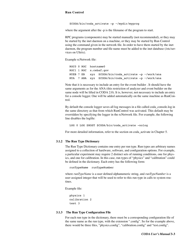#### **Run Control**

\$CODA/bin/coda\_activate -p ~/mydir/myprog

where the argument after the -p is the filename of the program to start.

RPC programs (components) may be started manually (not recommended), or they may be started by the inet daemon on a machine, or they may be started by Run Control using the command given in the network file. In order to have them started by the inet daemon, the program number and file name must be added to the inet database (/etc/services on Ultrix).

Example rcNetwork file:

ROC0 0 ROC hostname0 ROC1 1 ROC x.cebaf.gov MYEB 7 EB xyz \$CODA/bin/coda\_activate -p ~/work/ana MYA 7 ANA xyz \$CODA/bin/coda activate -p ~/work/ana

Note that it is necessary to include an entry for the event builder . It should have the same arguments as for the ANA (this restriction of analyzer and event builder on the same node will be lifted in CODA 2.0). It is, however, not necessary to include an entry for a console logger. One will be added automatically on the same machine as RunControl.

By default the console logger saves all log messages in a file called coda\_console.log in the same directory as that from which RunControl was activated. This default may be overridden by specifying the logger in the rcNetwork file. For example, the following line disables the logfile:

LOG 0 LOG \$HOST \$CODA/bin/coda\_activate -nolog

For more detailed information, refer to the section on coda\_activate in Chapter 5.

#### **3.1.2 The Run Type Dictionary**

The Run Type Dictionary contains one entry per run type. Run types are arbitrary names assigned to a collection of hardware, software, and configuration options. For example, a particular experiment may require 2 distinct sets of running conditions, one for physics, and one for calibration. In this case, run types of "physics" and "calibration" could be defined in the dictionary. Each entry has the following form:

runTypeName runTypeNumber

where *runTypeName* is a user defined alphanumeric string, and *runTypeNumber* is a user assigned integer that will be used to refer to this run type in calls to system routines.

Example file:

physics 1 calibration 2 test 3

#### **3.1.3 The Run Type Configuration File**

For each run type in the dictionary, there must be a corresponding configuration file of the same name as the run type, with the extension ".config". So for the example above, there would be three files, "physics.config", "calibration.config" and "test.config".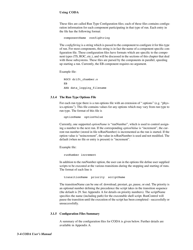#### **Using CODA**

These files are called Run Type Configuration files; each of these files contains configuration information for each component participating in that type of run. Each entry in the file has the following format:

componentName configString

The *configString* is a string which is passed to the component to configure it for this type of run. For most components, this string is in fact the name of a component specific configuration file. These configuration files have formats which are specific to the component types (TS, ROC, etc.), and will be discussed in the sections of this chapter that deal with those subsystems. These files are parsed by the components in parallel, speeding up starting a run. Currently, the EB component requires no argument.

Example file:

ROC0 drift\_chamber.o EB ANA data logging filename

#### **3.1.4 The Run Type Options File**

For each run type there is a run options file with an extension of "options" (e.g. "physics.options"). This file contains values for any options which may vary from run type to run type. The format of this file is

optionName optionValue

Currently, one supported *optionName* is "runNumber", which is used to control assigning a number to the next run. If the corresponding *optionValue* is "increment", the current run number (stored in file rcRunNumber) is incremented as the run is started. If the option value is "noincrement", the value in rcRunNumber is used and not modified. The default (when no file or entry is present) is "increment".

Example file:

runNumber increment

In addition to the runNumber option, the user can in the options file define user supplied scripts to be executed at the various transitions during the stopping and starting of runs. The format of each line is

transitionName priority scriptName

The transitionName can be one of: download, prestart, go, pause, or end. The priority is an optional number defining the precedence the script takes in the transition sequence (the default is 29. See Appendix A for details on priority numbers). The scriptName specifies the name (including path) for the executable shell script. RunControl will pause the transition until the execution of the script has been completed - successfully or unsuccessfully.

#### **3.1.5 Configuration Files Summary**

A summary of the configuration files for CODA is given below. Further details are available in Appendix A.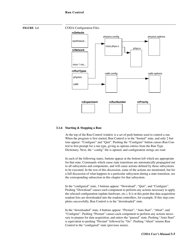

#### **3.1.6 Starting & Stopping a Run**

At the top of the Run Control window is a set of push buttons used to control a run. When the program is first started, Run Control is in the "booted" state, and only 2 buttons appear: "Configure" and "Quit". Pushing the "Configure" button causes Run Control to first prompt for a run type, giving as options entries from the Run Type Dictionary. Next, the ".config" file is opened, and configuration strings are read.

In each of the following states, buttons appear at the bottom left which are appropriate for that state. Commands which cause state transitions are automatically propagated out to all subsystems and components, and will cause actions defined by those subsystems to be executed. In the rest of this discussion, some of the actions are mentioned, but for a full discussion of what happens to a particular subsystem during a state transition, see the corresponding subsection in this chapter for that subsystem.

In the "configured" state, 3 buttons appear: "Download", "Quit", and "Configure". Pushing "Download" causes each component to perform any actions necessary to apply the selected configuration (update hardware, etc.). It is at this point that data acquisition readout lists are downloaded into the readout controllers, for example. If this step completes successfully, Run Control is in the "downloaded" state.

In the "downloaded" state, 4 buttons appear: "Prestart", "Auto Start", "Abort", and "Configure". Pushing "Prestart" causes each component to perform any actions necessary to prepare for data acquisition, and enters the "paused" state. Pushing "Auto Start" is equivalent to pushing "Prestart" followed by "Go". Pushing "Abort" returns Run Control to the "configured" state (previous menu).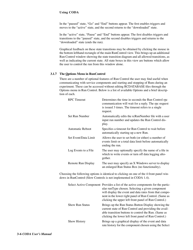#### **Using CODA**

In the "paused" state, "Go" and "End" buttons appear. The first enables triggers and moves to the "active" state, and the second returns to the "downloaded" state.

In the "active" state, "Pause" and "End" buttons appear. The first disables triggers and transitions to the "paused" state, and the second disables triggers and returns to the "downloaded" state (ends the run).

Graphical feedback on these state transitions may be obtained by clicking the mouse in the bottom lefthand rectangle of the main RunControl view. This brings up an additional Run Control window showing the state transition diagram and all allowed transitions, as well as indicating the current state. All state boxes in this view are buttons which allow the user to control the run from this window alone.

#### **3.1.7 The Options Menu in RunControl**

There are a number of optional features of Run Control the user may find useful when communicating with service components and starting and stopping of Runs during an experiment. These can be accessed without editing RCDATABASE files through the Options menu in Run Control. Below is a list of available Options and a brief description of each.

| <b>RPC</b> Timeout      | Determines the time in seconds the Run Control rpc<br>communication will wait for a reply. The rpc request<br>is issued 3 times. The timeout refers to a single<br>request. |
|-------------------------|-----------------------------------------------------------------------------------------------------------------------------------------------------------------------------|
| Set Run Number          | Automatically edits the rcRunNumber file with a user<br>input run number and updates the Run Control dis-<br>play.                                                          |
| <b>Automatic Reboot</b> | Specifies a timeout for Run Control to wait before<br>automatically starting up a new Run.                                                                                  |
| Set Event/Data Limit    | Allows the user to set both (or either) a number of<br>events limit or a total data limit before automatically<br>ending the run.                                           |
| Log Events to a File    | The user may optionally specify the name of a file in<br>which to write events or turn off data logging alto-<br>gether.                                                    |
| Remote Run Display      | The user may specify an X Windows server to display<br>an enlarged Run Status Box (no functionality).                                                                       |
|                         | Choosing the following options is identical to clicking on one of the 4 front panel win-<br>dows in RunControl (Slow Controls is not implemented in CODA 1.4).              |
|                         | Cologi A stive Companent Drovides a list of the estive companents for the next of                                                                                           |

|                        | Select Active Component Provides a list of the active components for the partic-<br>ular runType chosen. Selecting a given component<br>will display the event and data rates from that compo-<br>nent in the lower right panel of Run Control. (Same as<br>clicking the upper left front panel of Run Control.) |
|------------------------|------------------------------------------------------------------------------------------------------------------------------------------------------------------------------------------------------------------------------------------------------------------------------------------------------------------|
| <b>Show Run Status</b> | Brings up the Run Status Button Display showing the<br>current state of Run Control and providing the avail-<br>able transition buttons to control the Run. (Same as<br>clicking the lower left front panel of Run Control.)                                                                                     |
| <b>Show History</b>    | Brings up a graphical display of the event and data<br>rate history for the component chosen using the Select                                                                                                                                                                                                    |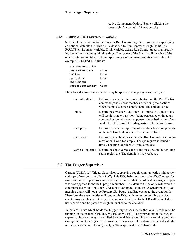Active Component Option. (Same a clicking the lower right front panel of Run Control.)

#### **3.1.8 RCDEFAULTS Environment Variable**

Several of the default initial settings for Run Control may be overridden by specifying an optional defaults file. This file is identified to Run Control through the RCDE-FAULTS environment variable. If this variable exists, Run Control treats it as specifying a text file containing initial settings. The format of the file is similar to that of the other configuration files, each line specifying a setting name and its initial value. An example RCDEFAULTS file is:

| ! A comment line       |      |  |  |  |
|------------------------|------|--|--|--|
| buttonfeedback<br>true |      |  |  |  |
| online<br>true         |      |  |  |  |
| rpcupdate<br>true      |      |  |  |  |
| rpctimeout<br>3        |      |  |  |  |
| verbosereporting       | true |  |  |  |

The allowed setting names, which may be specified in upper or lower case, are:

| <b>buttonFeedback</b> | Determines whether the various buttons on the Run Control<br>command panels show feedback describing their actions<br>when the mouse cursor enters them. The default is true.                                                                              |
|-----------------------|------------------------------------------------------------------------------------------------------------------------------------------------------------------------------------------------------------------------------------------------------------|
| online                | Determines whether Run Control is online. A value of false<br>will result in state transitions being performed without any<br>communication with the components described in the rcNet-<br>work file. This is useful for diagnostics. The default is true. |
| rpcUpdate             | Determines whether updating of variables from components<br>in the rcNetwork file occurs. The default is true.                                                                                                                                             |
| rpctimeout            | Determines the time in seconds the Run Control rpc commu-<br>nication will wait for a reply. The rpc request is issued 3<br>times. The time out refers to a single request.                                                                                |
| verboseReporting      | Determines how verbose the status messages in the scrolling<br>status region are. The default is true (verbose).                                                                                                                                           |

#### **3.2 The Trigger Supervisor**

Current (CODA 1.4) Trigger Supervisor support is through communication with a special type of readout controller (ROC). This ROC behaves as any other ROC except for two differences. It possesses an rpc program number that identifies it as a trigger supervisor (as opposed to the ROC program number). This defines the priority with which it communicates with Run Control. Also, it is configured to be an "Asynchronous" ROC meaning that it will not issue Prestart ,Go, Pause, and End events to the event builder. Therefore, the event builder will ignore this ROC with respect to building physics events. Any events generated by this component and sent to the EB will be treated as user specific and be passed through untouched to the analyzer.

In the VME crate which holds the Trigger Supervisor module the *coda\_ts* code must be running on the resident CPU (i.e. MV162 or MV167). The programing of the trigger supervisor is done though a compiled downloadable readout list to the running program. Configuration of the trigger supervisor in the Run Control database is identical with the normal readout controller only the type TS is specified in rcNetwork file.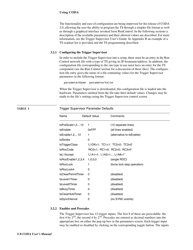#### **Using CODA**

The functionality and ease of configuration are being improved for the release of CODA 2.0, allowing the user the ability to program the TS through a simpler file format as well as through a graphical interface invoked form RunControl. In the following sections a description of the available parameters and their allowed values are described. For more information, see the Trigger Supervisor User's Guide. In Appendix B an example of a TS readout list is provided and the TS programming described.

#### **3.2.1 Configuring the Trigger Supervisor**

In order to include the Trigger Supervisor into a setup, there must be an entry in the Run Control network file with a type of TS giving its IP hostname/address. In addition, the configuration file corresponding to the run type in use must have an entry for the TS component (see the Run Control section for a discussion of these files). The configuration file entry gives the name of a file containing values for the Trigger Supervisor parameters in the following format:

parameterName parameterValue

When the Trigger Supervisor is downloaded, this configuration file is loaded into the hardware. Parameters omitted from the file take their default values. Changes may be made to the file's settings using the Trigger Supervisor control screen.

| <b>Trigger Supervisor Parameter Defaults</b> |                               |                             |
|----------------------------------------------|-------------------------------|-----------------------------|
| Name                                         | Default Value                 | Comments                    |
| tsPreScale1,2,12                             | 1                             | (12 separate lines)         |
| tsEnable                                     | 0xFFF                         | (all lines enabled)         |
| tsEnable1,2,12                               | 1                             | (alternative to tsEnable)   |
| tsStrobe                                     | 0                             |                             |
| tsTriggerClass                               | 'L1OK=1; TC1=1; TC2=0; TC3=0' |                             |
| tsRocCode                                    | 'RC0=1; RC1=0; RC2=0; RC3=0'  |                             |
| tsL1Accept                                   | 'L1A1=1; L1A2=1; L1A8=1'      |                             |
| tsRocEnable1,2,3,4                           | 1,0,0,0                       | (single ROC)                |
| tsRocLock                                    | 1                             | (force lock step operation) |
| tsRocLock4                                   | 0                             |                             |
| tsClearPermitTimer                           | 0                             | (disabled)                  |
| tsLevel1Timer                                | 0                             | (disabled)                  |
| tsLevel2Timer                                | 0                             | (disabled)                  |
| tsBusyTimer                                  | 0                             | (disabled)                  |
| tsClearHoldTimer                             | 0                             | (disabled)                  |
| tsSyncInterval                               | 0                             | (no SYNC events)            |

#### **3.2.2 Enables and Prescales**

The Trigger Supervisor has 12 trigger inputs. The first 8 of these are prescalable: the first 4 by  $2^{24}$ , the second 4 by  $2^{16}$ . Prescales are entered as decimal numbers into the appropriate box on either the pop-up box or the parameters screen. Each trigger input may be enabled or disabled by clicking on the corresponding toggle button. The inputs

#### TABLE 1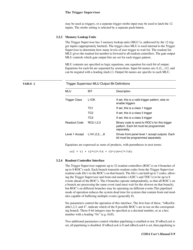#### **The Trigger Supervisor**

may be used as triggers, or a separate trigger strobe input may be used to latch the 12 inputs. The strobe setting is selected by a separate push button.

#### **3.2.3 Memory Lookup Units**

The Trigger Supervisor has 3 memory lookup units (MLU's), addressed by the 12 trigger inputs (appropriately latched). The trigger class MLU is used internal to the Trigger Supervisor to determine how many levels of user trigger to wait for. The readout list MLU gives the readout list number to forward to all readout controllers. The gate output MLU controls which gate output bits are set for each trigger pattern.

MLU contents are specified as logic equations, one equation for each bit of output. Equations for each bit are separated by semicolons. Input bit names are  $t1, t2, \dots, t12$ , and can be negated with a leading slash (/). Output bit names are specific to each MLU.

| TABLE 2 |                      | Trigger Supervisor MLU Output Bit Definitions |                                                                                                      |  |  |
|---------|----------------------|-----------------------------------------------|------------------------------------------------------------------------------------------------------|--|--|
|         | <b>MLU</b>           | <b>BIT</b>                                    | Description                                                                                          |  |  |
|         | <b>Trigger Class</b> | L <sub>1</sub> OK                             | If set, this is a valid trigger pattern, else re-<br>enable triggers                                 |  |  |
|         |                      | TC <sub>1</sub>                               | If set, this is a class 1 trigger                                                                    |  |  |
|         |                      | TC <sub>2</sub>                               | If set, this is a class 2 trigger                                                                    |  |  |
|         |                      | TC <sub>3</sub>                               | If set, this is a class 3 trigger                                                                    |  |  |
|         | <b>Readout Code</b>  | RC0.1.2.3                                     | Binary code to send to ROC's for this trigger<br>pattern. Each bit must be programmed<br>separately. |  |  |
|         | Level 1 Accept       | L1A1, 2, 3, , 8                               | Drives front panel level 1 accept outputs. Each<br>bit must be programmed separately.                |  |  |

Equations are expressed as sums of products, with parentheses to nest terms:

rc2 = t1 + t2\*t3\*/t4 + t5\*(t6+t7\*/t8)

#### **3.2.4 Readout Controller Interface**

The Trigger Supervisor supports up to 32 readout controllers (ROC's) on 4 branches of up to 8 ROC's each. Each branch transmits readout codes from the Trigger Supervisor readout code fifo's to the ROC's on that branch. The fifo's can hold up to 7 codes, allowing the Trigger Supervisor and front end modules (ADC's and TDC's) to be up to 8 events ahead of the ROC's. The 4 branches operate independently, so that all ROC's on a branch are processing the same event (and must wait for the slowest on that branch), but ROC's on different branches may be operating on different events.This pipelined mode of operation reduces the system dead time for systems that contain front end modules capable of buffering multiple events (generally 8).

Six parameters control the operation of this interface. The first four of these, "tsRocEnable1,2,3, and 4", indicate which of the 8 possible ROC's are in use on the corresponding branch. These 8 bit integers may be specified as a decimal number, or as a hex number with a leading "0x" (e.g. 0xff).

Two additional parameters control whether pipelining is enabled or not. If tsRocLock is set, all pipelining is disabled. If tsRocLock is 0 and tsRocLock4 is set, then pipelining is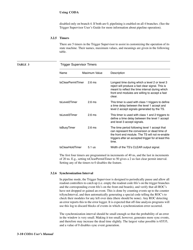#### **Using CODA**

disabled only on branch 4. If both are 0, pipelining is enabled on all 4 branches. (See the Trigger Supervisor User's Guide for more information about pipeline operation).

#### **3.2.5 Timers**

There are 5 timers in the Trigger Supervisor to assist in customizing the operation of its state machine. Their names, maximum values, and meanings are given in the following table.

| <b>Trigger Supervisor Timers</b> |                  |                                                                                                                                                                                                                   |
|----------------------------------|------------------|-------------------------------------------------------------------------------------------------------------------------------------------------------------------------------------------------------------------|
| Name                             | Maximum Value    | Description                                                                                                                                                                                                       |
| tsClearPermitTimer               | $2.6 \text{ ms}$ | Longest time during which a level 2 or level 3<br>reject will produce a fast clear signal. This is<br>meant to reflect the time interval during which<br>front end modules are willing to accept a fast<br>clear. |
| tsl evel?Timer                   | $2.6 \text{ ms}$ | This timer is used with class 1 triggers to define<br>a time delay between the level 1 accept and<br>level 2 accept signals generated by the TS.                                                                  |
| tsl evel3Timer                   | $2.6 \text{ ms}$ | This timer is used with class 1 and 2 triggers to<br>define a time delay between the level 1 accept<br>and level 3 accept signals.                                                                                |
| tsBusyTimer                      | $2.6 \text{ ms}$ | The time period following level 1 accept that<br>can represent the conversion or dead time of<br>the front end module. The TS will not re-enable<br>triggers after an accepted trigger for at least this<br>time. |
| tsClearHoldTimer                 | $5.1$ us         | Width of the TS's CLEAR output signal.                                                                                                                                                                            |

The first four timers are programmed in increments of 40 ns, and the last in increments of 20 ns. E.g., setting tsClearPermitTimer to 50 gives a 2 us fast clear permit interval. Setting any of the timers to 0 disables the feature.

#### **3.2.6 Synchronization Interval**

In pipeline mode, the Trigger Supervisor is designed to periodically pause and allow all readout controllers to catch up (i.e. empty the readout code fifo's on the trigger branches and the corresponding event fifo's on the front end boards), and verify that all ROC's have not dropped or gained an event. This is done by counting events up to the counter tsSyncInterval, and then automatically generating a special code telling the ROC's to check their modules for any left over data (there should be none). Any ROC detecting an error reports this to the error logger. It is expected that off-line analysis programs will use this log to discard blocks of events in which a synchronization error occurred.

The synchronization interval should be small enough so that the probability of an error in the window is very small. Making it too small, however, generates more sync events, and therefore may increase the dead time slightly. The largest value possible is 65535, and a value of 0 disables sync event generation.

#### **TABLE 3**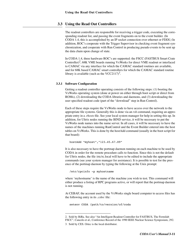#### **3.3 Using the Read Out Controllers**

The readout controllers are responsible for receiving a trigger code, executing the corresponding readout list, and passing the event fragments on to the event builder. (In CODA 1.4, this is accomplished by an IP socket connection over ethernet or FDDI.) In addition, ROC's cooperate with the Trigger Supervisor in checking event fragment synchronization, and cooperate with Run Control in producing pseudo events to be sent up the data chain upon change of state.

In CODA 1.4, three hardware ROC's are supported: the FSCC (FASTBUS Smart Crate Controller)<sup>2</sup>, 68K VME boards running VxWorks for direct VME readout or interfaced to CAMAC via any interface for which the CAMAC standard routines are available, and for 68K based CAMAC smart controllers for which the CAMAC standard routine library is available (such as the VCC2117)<sup>3</sup>.

#### **3.3.1 Software Configuration**

Getting a readout controller operating consists of the following steps: (1) booting the VxWorks operating system (done at power on either through boot script or direct from ROMs), (2) downloading the CODA libraries and daemons, and (3) downloading the user specified readout code (part of the "download" step in Run Control).

Each of these steps require the VxWorks node to have access over the network to the appropriate file systems. Generally this is done via an *rsh* command, requiring an appropriate entry in a .*rhosts* file. See your local system manager for help in setting this up. In addition, for Ultrix nodes running the BIND service, it will be necessary to put the VxWorks node names into the name server. In all cases, it will be necessary to have the names of the machines running RunControl and the Event Builder entered into the host tables on VxWorks. This is done by the hostAdd command (usually in the boot script for that board):

hostAdd "myhost","123.45.67.89"

It is also necessary to have the portmap daemon running on each machine to be used by CODA in order for the remote procedure calls to function. Since this is not the default for Ultrix nodes, the file /etc/rc.local will have to be edited to include the appropriate commands (see your system manager for assistance). It is possible to test for the presence of the portmap daemon by typing the following at the Unix prompt:

/etc/rpcinfo -p myhostname

where 'myhostname' is the name of the machine you wish to test. This command will either produce a listing of RPC programs active, or will report that the portmap daemon is not running.

At CEBAF, the account used by the VxWorks single board computer to access files has the following entry in its .*cshrc* file:

setenv CODA /path/to/version/of/coda

<sup>2.</sup> Sold by BiRa. See also "An Intelligent Readout Controller for FASTBUS, The Fermilab FSCC", Cancelo et al., Conference Record of the 1990 IEEE Nuclear Science Symposium, 292.

<sup>3.</sup> Sold by CES. Ortec is the local distributor.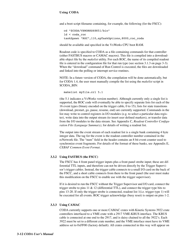#### **Using CODA**

and a boot script filename containing, for example, the following (for the FSCC):

```
cd "$CODA/VXWORKS68K51/bin"
ld < coda_roc
taskSpawn "ROC",110,spTaskOptions,8000,roc_coda
```
should be available and specified in the VxWorks CPU boot RAM.

Readout code is specified to CODA as a file containing commands for that controller (either FASTBUS macros or CAMAC macros). This file is compiled into a downloadable object file by the *makelist* utility. For each ROC, the name of its compiled readout file is entered in the configuration file for that run type (see section 3.1.3 on page 3-3). When the "download" command of Run Control is executed, the files are downloaded and linked into the polling or interrupt service routines.

NOTE: In a future version of CODA, the compilation will be done automatically, but for CODA 1.4, the user must manually compile the list using the *makelist* script in \$CODA\_BIN:

```
makelist myfile.crl 5.1
```
(the 5.1 indicates a VxWorks version number). Although currently only a single list is supported, the ROC code will eventually be able to specify separate lists for each of the 16 event types (binary encoded on the trigger cable, 0 to 15); lists for state transitions (download, prestart, go, pause, resume, end) are currently supported. Commands in the list may write to control registers in I/O modules (e.g. to select a particular data register), write data into the output stream (to insert user defined markers), or transfer data from the I/O modules to the data stream. See Appendix C, *Readout Controller Configuration File (Language Summary),* for details of writing a readout list.

The output into the event stream of each readout list is a single bank containing 4 byte integer data. The tag for the event is the readout controller number contained in the rcNetwork file. The "num" field in the header contains an 8 bit event counter used to synchronize event fragments. For details of the format of these banks, see Appendix E, *CEBAF Common Event Format.*

#### **3.3.2 Using FASTBUS (the FSCC)**

The FSCC has 4 front panel trigger inputs plus a front panel strobe input; these are differential TTL inputs, and therefore can not be driven directly by the Trigger Supervisor's trigger cables. Instead, the trigger cable connects to a small I/O card on the back of the FSCC, and a short cable connects from there to the front panel (the user must make this modification on the FSCC to enable use with the trigger supervisor).

If it is desired to run the FSCC without the Trigger Supervisor and I/O card, connect the trigger strobe to pins 11  $\&$  12 (differential TTL), and connect the trigger type bits to pins 13-20. If only the trigger strobe is connected, readout list 1(i.e. trigger type 1) will be executed for all events. ROC trigger acknowledge (busy reset) is output on pins 1-2.

#### **3.3.3 Using CAMAC**

CODA currently supports one or more CAMAC crates with Kinetic Systems 3922 crate controllers interfaced to a VME crate with a 2917 VME-KBUS interface. The KBUS cable is connected at one end to the 2917, and is daisy chained to all the 3922's. Each 3922 must be set to a different crate number, and the VME interface must have its VME address set to 0xFF00 (factory default). All crates connected in this way will appear on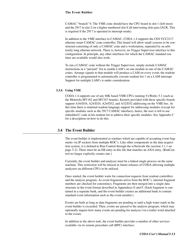#### **The Event Builder**

CAMAC "branch" 0. The VME crate should have the CPU board in slot 1 (left most) and the 2917 in slot 2 (or a higher numbered slot if all intervening slots pass IACK. This is required if the 2917 is operated in interrupt mode).

In addition to the VME interface to CAMAC, CODA 1.4 supports the CES VCC2117 ethernet smart CAMAC crate controller. This board will allow small systems to be constructed consisting of only a CAMAC crate and a workstation, separated by an arbitrarily long ethernet network. There is, however, no Trigger Supervisor interface to this configuration. In principle, any other interfaces for which the CAMAC standard routines are available would also work.

To run a CAMAC crate without the Trigger Supervisor, simply include CAMAC instructions in a "prestart" list to enable LAM's on one module in one of the CAMAC crates. Arrange signals to that module will produce a LAM on every event; the readout controller is programmed to automatically execute readout list 1 on a LAM interrupt. Support for multiple LAM's is under consideration.

### **3.3.4 Using VME**

CODA 1.4 supports use of any 68K based VME CPUs running VxWorks 5.1 (such as the Motorola MV162 and MV167 boards). Kernels provided with these specific boards support A16/D16, A24/D24, A24/D32, and A32/D32 addressing on the VME bus. At this time there is minimal readout language support for addressing modules (except for specific modules such as the 2917 CAMAC interface), hence, the user is left to use imbedded C code in his readout list to address their specific modules. See Appendix C for a description on how to do this.

# **3.4 The Event Builder**

The event builder is implemented as routines which are capable of accepting event fragments via IP sockets from multiple ROC's. Like other components in the data acquisition system, it is defined to Run Control through the rcNetwork file (section 3.1.1 on page 3-2). There must be an EB entry in this file that matches an ANA entry. (RunControl no longer explicitly creates one.)

Currently, the event builder and analyzer must be a linked single process on the same machine. This restriction will be relaxed in future releases of CODA allowing multiple analyzers on different CPUs to be utilized.

Once started, the event builder waits for connection requests from readout controllers and the analysis program. As event fragments arrive from the ROC's, internal fragment numbers are checked for consistency. Fragments are then merged into a single data structure in the event format described in Appendices E and F. (Each fragment is contained in a separate bank, and the event builder creates an additional bank to contain standard event information such as the event number.)

Events are built as long as data fragments are pending or until a high water mark in the event builder is exceeded. Then, events are passed to the analysis program, which may optionally inquire how many events are pending for analysis (via a trailer word attached to the event).

In addition to the above task, the event builder provides a number of other services available via its remote procedure call (RPC) interface: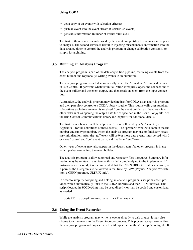- get a copy of an event (with selection criteria)
- push an event into the event stream (User/EPICS events)
- get status information (number of events built, etc.)

The first of these services can be used by the event dump utility to examine events prior to analysis. The second service is useful to injecting miscellaneous information into the data stream, either to control the analysis program or change calibration constants, or simply for archiving.

# **3.5 Running an Analysis Program**

The analysis program is part of the data acquisition pipeline, receiving events from the event builder and (optionally) writing events to an output file.

The analysis program is started automatically when the "download" command is issued in Run Control. It performs whatever initialization it requires, opens the connections to the event builder and the event output, and then reads an event from the input connection.

Alternatively, the analysis program may declare itself to CODA as an analysis program, and then pass flow control to a CODA library routine. This routine calls user supplied subroutines each time an event is received from the event builder, and handles a few other tasks such as opening the output data file as specified in the user's .*config* file. See the Run Control Communications library in Chapter 4 for additional details.

The first event obtained will be a "prestart" event followed by a "go" event. (See Appendix F for the definitions of these events.) The "prestart" event will contain the run number and run type number, which the analysis program may use to finish any necessary initialization. After the "go" event will be 0 or more data events interspersed with 0 or more "pause" and "go" event pairs, and finally an "end" event.

Other types of events may also appear in the data stream if another program is in use which pushes events into the event builder.

The analysis program is allowed to read and write any files it requires. Summary information may be written in any form -- this is left completely up to the implementer. If histograms are desired, it is recommended that the CERN HBOOK routines be used, as it permits the histograms to be viewed in real time by PAW (Physics Analysis Workstation, a CERN program, ULTRIX only).

In order to simplify compiling and linking an analysis program, a script has been provided which automatically links to the CODA libraries and the CERN libraries. This script (located in \$CODA/bin) may be used directly, or may be copied and customized as needed:

codaf77 [compiler-options] <filename>.f

### **3.6 Using the Event Recorder**

While the analysis program may write its events directly to disk or tape, it may also choose to write events to the Event Recorder process. This process accepts events from the analysis program and copies them to a file specified in the <runType>.config file. If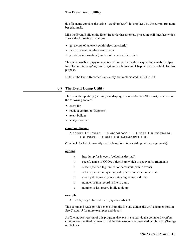#### **The Event Dump Utility**

this file name contains the string "<runNumber>", it is replaced by the current run number (decimal).

Like the Event Builder, the Event Recorder has a remote procedure call interface which allows the following operations:

- get a copy of an event (with selection criteria)
- push an event into the event stream
- get status information (number of events written, etc.)

Thus it is possible to spy on events at all stages in the data acquisition / analysis pipeline. The utilities *cefdump* and *xcefdmp* (see below and Chapter 5) are available for this purpose.

NOTE: The Event Recorder is currently not implemented in CODA 1.4

# **3.7 The Event Dump Utility**

The event dump utility (cefdmp) can display, in a readable ASCII format, events from the following sources:

- event file
- readout controller (fragment)
- event builder
- analysis output

#### **command format**

```
% cefdmp [filename] [-o objectname ] [-t tag] [-u uniquetag]
      [-s start] [-e end] [-d dictionary] [-x]
```
(To check for list of currently available options, type cefdmp with no arguments).

#### **options**

- x hex dump for integers (default is decimal)
- o specify name of CODA object from which to get events / fragments
- t select specified tag number or name (full path in event)
- u select specified unique tag, independent of location in event
- d specify dictionary for obtaining tag names and titles
- s number of first record in file to dump
- e number of last record in file to dump

#### **example**

% cefdmp myfile.dat -t physics.drift

This command reads physics events from the file and dumps the drift chamber portion. See Chapter 5 for more examples and details.

An X-windows version of this program also exists, started via the command *xcefdmp*. Options are specified by menus, and the data structure is presented graphically. (See figure below)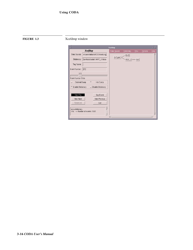

# **FIGURE 1.3** Xcefdmp window

|                    |                                | Xcefdmp     |            |        |         |      |
|--------------------|--------------------------------|-------------|------------|--------|---------|------|
|                    | <b>Xcefdmp</b>                 | Data Source | Dictionary | View   | Options | Help |
| Data Source:       | sr/users/abbottd/CODA/adc.log  | EvType1     | EvID       |        |         |      |
| Dictionary:        | Vusr/local/coda/1.4/HP_UX/exa  |             | ROC_3      | $-0x1$ |         |      |
| Tag Name:          |                                |             |            |        |         |      |
| Event Number:      | 372                            |             |            |        |         |      |
| 372                |                                |             |            |        |         |      |
| Event Number Slide |                                |             |            |        |         |      |
| Decimal Dump       | 办<br>Hex Dump                  |             |            |        |         |      |
| Enable Dictionary  | ← Disable Dictionary           |             |            |        |         |      |
|                    |                                |             |            |        |         |      |
| View File          | Spy Event                      |             |            |        |         |      |
| View Next          | View Previous                  |             |            |        |         |      |
| Reserved           | Quit                           |             |            |        |         |      |
| as a dictionary.   | Info -> Number of events: 1569 |             |            |        |         |      |
|                    |                                | 61          |            |        |         | T.   |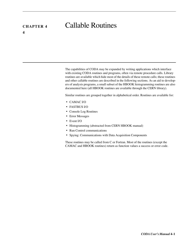# **CHAPTER <sup>4</sup>** Callable Routines

The capabilities of CODA may be expanded by writing applications which interface with existing CODA routines and programs, often via remote procedure calls. Library routines are available which hide most of the details of these remote calls; these routines and other callable routines are described in the following sections. As an aid to developers of analysis programs, a small subset of the HBOOK histogramming routines are also documented here (all HBOOK routines are available through the CERN library).

Similar routines are grouped together in alphabetical order. Routines are available for:

- CAMAC I/O
- FASTBUS I/O
- Console Log Routines
- Error Messages
- Event I/O
- Histogramming (abstracted from CERN HBOOK manual)
- Run Control communications
- Spying: Communications with Data Acquisition Components

These routines may be called from C or Fortran. Most of the routines (except the CAMAC and HBOOK routines) return as function values a success or error code.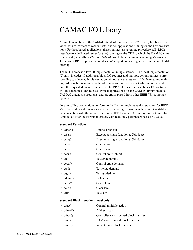**Standard Functions**

# CAMAC I/O Library

An implementation of the CAMAC standard routines (IEEE-758 1979) has been provided both for writers of readout lists, and for applications running on the host workstations. For host based applications, these routines use a remote procedure call (RPC) interface to a dedicated server (caSrvr) running on the CPU to which the CAMAC crate is attached (generally a VME or CAMAC single board computer running VxWorks). The current RPC implementation does *not* support connecting a user routine to a LAM interrupt.

The RPC library is a level B implementation (single actions). The local implementation (C only) includes 10 additional block I/O routines and multiple action routines, corresponding to a level C implementation without the execute-on-LAM feature, and with high address limits ignored in the address scan routines (scans to the end of the crate, or until the requested count is satisfied). The RPC interface for these block I/O routines will be added in a later release. Typical applications for the CAMAC library include CAMAC diagnostic programs, and programs ported from other IEEE-758 compliant systems.

Fortran calling conventions conform to the Fortran implementation standard for IEEE-758. Two additional functions are added, including *caopen,* which is used to establish the connection with the server. There is no IEEE standard C binding, so the C interface is modelled after the Fortran interface, with read-only parameters passed by value.

| $\bullet$ cdreg() | Define a register                       |
|-------------------|-----------------------------------------|
| • $cfsa()$        | Execute a single function (32bit data)  |
| • $\csc(a)$       | Execute a single function (16 bit data) |
| $\bullet$ cccz()  | Crate initialize                        |
| $\bullet$ cccc()  | Crate clear                             |
| $\bullet$ ccci()  | Control crate inhibit                   |
| $\bullet$ ctci()  | Test crate inhibit                      |
| $\bullet$ cccd()  | Control crate demand                    |
| $\bullet$ ctcd()  | Test crate demand                       |
| • $ctgl()$        | Test graded lam                         |
| $\bullet$ cdlam() | Define lam                              |
| $\cdot$ cclm()    | Control lam                             |
| $\bullet$ cclc()  | Clear lam                               |
| ctlm()            | Test lam                                |
|                   |                                         |

#### **Standard Block Functions (local only)**

| • $cfga()$        | General multiple action                |
|-------------------|----------------------------------------|
| $\bullet$ cfmad() | Address scan                           |
| $\bullet$ cfubc() | Controller synchronized block transfer |
| $\bullet$ cfubl() | LAM synchronized block transfer        |
| $\bullet$ cfubr() | Repeat mode block transfer             |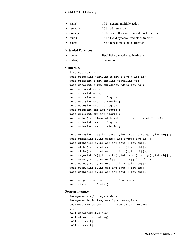#### **CAMAC I/O Library**

- csga() 16 bit general multiple action
- csmad() 16 bit address scan
- csubc() 16 bit controller synchronized block transfer
- csubl() 16 bit LAM synchronized block transfer
- csubr() 16 bit repeat mode block transfer

## **Extended Functions**

• caopen() Establish connection to hardware • ctstat() Test status

#### **C interface**

```
#include "ca.h"
void cdreg(int *ext,int b,int c,int n,int a);
void cfsa(int f,int ext,int *data,int *q);
void cssa(int f,int ext,short *data,int *q);
void cccz(int ext);
void cccc(int ext);
void ccci(int ext,int logic);
void ctci(int ext,int *logic);
void cccd(int ext,int logic);
void ctcd(int ext,int *logic);
void ctgl(int ext,int *logic);
void cdlam(int *lam,int b,int c,int n,int a,int *inta);
void cclm(int lam,int logic);
void ctlm(int lam,int *logic);
```

```
void cfga(int fa[],int exta[],int intc[],int qa[],int cb[]);
void cfmad(int f,int extb[],int intc[],int cb[]);
void cfubc(int f,int ext,int intc[],int cb[]);
void cfubl(int f,int ext,int intc[],int cb[]);
void cfubr(int f,int ext,int intc[],int cb[]);
void csga(int fa[],int exta[],int intc[],int qa[],int cb[]);
void csmad(int f,int extb[],int intt[],int cb[]);
void csubc(int f,int ext,int intt[], int cb[]);
void csubl(int f,int ext,int intt[],int cb[]);
void csubr(int f,int ext,int intt[],int cb[]);
```

```
void caopen(char *server, int *success);
void ctstat(int *istat);
```
#### **Fortran interface**

```
integer*4 ext,b,c,n,a,f,data,q
integer*4 logic,lam,inta[2],success,istat
character*20 server ! length unimportant
...
call cdreg(ext,b,c,n,a)
call cfsa(f,ext,data,q)
call cccz(ext)
call cccc(ext)
```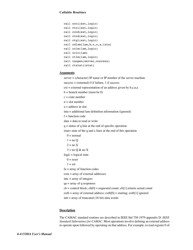#### **Callable Routines**

```
call ccci(ext,logic)
call ctci(ext,logic)
call cccd(ext,logic)
call ctcd(ext,logic)
call ctgl(ext,logic)
call cdlam(lam,b,c,n,a,inta)
call cclm(lam,logic)
call cclc(lam)
call ctlm(lam,logic)
call caopen(server, success)
call ctstat(istat)
```
#### **Arguments**

 $server = (character) IP$  name or IP number of the server machine  $success = ( returned) 0$  if failure, 1 if success  $ext = external representation of an address given by b,c,n,a$  $b =$  branch number (must be 0)  $c = \text{crate number}$  $n =$ slot number  $a =$  address in slot inta = additional lam definition information (ignored)  $f = function code$  $data = data$  to read or write  $q =$  status of q line at the end of specific operation istat= state of the q and x lines at the end of this operation  $0 = normal$  $1 = no Q$  $2 = no X$  $3 = no Q & no X$  $logic = logical state$  $0 =$  reset  $1 = set$  $fa = array of function codes$ exta = array of external addresses intc = array of integers qa = array of q responses  $cb = control block$ ;  $cb[0] = requested count$ ;  $cb[1]$  returns actual count  $ext{b} = \ar{ray}$  of external address;  $ext{b[0]} = \ar{string}$ ;  $ext{b[1]}$  ignored

 $\text{int} = \text{array of truncated} (16 \text{ bit}) \text{ data words}$ 

#### **Description**

The CAMAC standard routines are described in IEEE Std 758-1979 appendix D: *IEEE Standard Subroutines for CAMAC.* Most operations involve defining an external address to operate upon followed by operating on that address. For example, to read register 0 of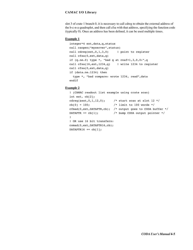### **CAMAC I/O Library**

slot 3 of crate 1 branch 0, it is necessary to call cdreg to obtain the external address of the b-c-n-a quadruplet, and then call cfsa with that address, specifying the function code (typically 0). Once an address has been defined, it can be used multiple times.

#### **Example 1**

```
integer*4 ext,data,q,status
call caopen("myserver",status)
call cdreg(ext, 0, 1, 3, 0) | point to register
call cfsa(0,ext,data,q)
if (q.ne.0) type *, "bad q at cnaf=1,3,0,0:",q
call cfsa(16,ext,1234,q) ! write 1234 to register
call cfsa(0,ext,data,q)
if (data.ne.1234) then
  type *, "bad compare: wrote 1234, read",data
endif
```
# **Example 2**

```
! (CAMAC readout list example using crate scan)
int ext, cb[2];
cdreg(&ext, 0, 1, 12, 0); \frac{1}{1} start scan at slot 12 */
cb[0] = 100; /* limit to 100 words */
cfmad(0,ext,DATAPTR,cb); /* output goes to CODA buffer */
DATAPTR += cb[1]; \qquad /* bump CODA output pointer */
!
! OR use 16 bit transfers:
csmad(0,ext,DATAPTR16,cb);
DATAPTR16 += cb[1];
```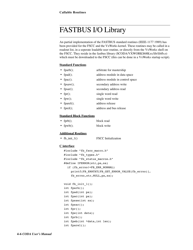# FASTBUS I/O Library

An partial implementation of the FASTBUS standard routines (IEEE-1177 1989) has been provided for the FSCC and the VxWorks kernel. These routines may be called in a readout list, in a seperate loadable user routine, or directly from the VxWorks shell on the FSCC. They reside in the fastbus library (\$CODA/VXWORKS68Kxx/lib/libfb.o) which must be downloaded to the FSCC (this can be done in a VxWorks startup script).

#### **Standard Functions**

| • fparb $();$   | arbitrate for mastership        |
|-----------------|---------------------------------|
| • fpad $()$ ;   | address module in data space    |
| • fpac();       | address module in control space |
| • fpsaw $()$ ;  | secondary address write         |
| • fpsar();      | secondary address read          |
| • fpr $()$ ;    | single word read                |
| • fpw $()$ ;    | single word write               |
| • fparel $()$ ; | address release                 |
| • fprel $()$ ;  | address and bus release         |
|                 |                                 |

#### **Standard Block Functions**

| • fprb $()$ ; | block read  |
|---------------|-------------|
| • fpwb();     | block write |

# **Additional Routines**

• fb\_init\_1() FSCC Initialization

#### **C interface**

```
#include "fb_fscc_macro.h"
#include "fb_types.h"
#include "fb_status_macros.h"
#define IFERROR(str,pa,sa)
   if (fb_errno!=FB_ERR_NORMAL)
    printf(FB_ERRTXT[FB_GET_ERROR_VALUE(fb_errno)],
    fb_errno,str,NULL,pa,sa);
```

```
void fb_init_1();
int fparb();
int fpad(int pa);
int fpac(int pa);
int fpsaw(int sa);
int fpsar();
int fpr();
int fpw(int data);
int fprb();
int fpwb(int *data,int len);
int fparel();
```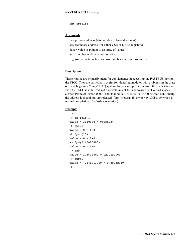#### **FASTBUS I/O Library**

int fprel();

#### **Arguments**

pa= primary address (slot number or logical address)

sa= secondary address (for either CSR or DATA registers)

data = value or pointer to an array of values

 $len = number of data values to write$ 

fb\_errno = contains fastbus error number after each routine call

# **Description**

These routine are primarily ment for convienience in accessing the FASTBUS port on the FSCC. They are particularly useful for identifing modules with problems in the crate or for debugging a "hung" DAQ system. In the example below from the the VxWorks shell the FSCC is initalized and a module in slot 16 is addressed (in Control space), cleared (write of 0x40000000), and its module ID ( ID = 0x104f0000) read out. Finally, the address lock and bus are released (fprel() returns fb\_errno = 0x800bc119 which is normal completion of a fastbus operation).

## **Example**

```
->
\rightarrow fb_init_1
value = 3140068 = 0x2fe9e4-> fparb
value = 0 = 0x0\rightarrow fpac(16)
value = 0 = 0x0- fpw(0x40000000)
value = 0 = 0x0-> fpr
value = 273612800 = 0x104f0000-> fprel
value = -2146713319 = 0x800bc119
\rightarrow
```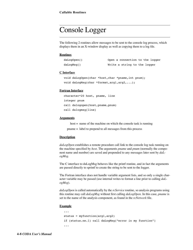# Console Logger

The following 2 routines allow messages to be sent to the console log process, which displays them in an X-window display as well as copying them to a log file.

#### **Routines**

| daLoqOpen() | Open a connection to the logger |
|-------------|---------------------------------|
| daLogMsq()  | Write a string to the logger    |

#### **C Interface**

```
void daLogOpen(char *host,char *pname,int pnum);
void daLogMsg(char *format,arg1,arg2,...);
```
#### **Fortran Interface**

```
character*20 host, pname, line
integer pnum
call dalogopen(host, pname, pnum)
call dalogmsg(line)
```
#### **Arguments**

host  $=$  name of the machine on which the console task is running

pname = label to prepend to all messages from this process

#### **Description**

*daLogOpen* establishes a remote procedure call link to the console log task running on the machine specified by *host*. The arguments *pname* and *pnum* (normally the component name and number) are saved and prepended to any messages later sent by *daLogMsg*.

The C interface to daLogMsg behaves like the printf routine, and in fact the arguments are passed directly to sprintf to create the string to be sent to the logger.

The Fortran interface does not handle variable argument lists, and so only a single character variable may be passed (use internal writes to format a line prior to calling *daLogMsg*).

*daLogOpen* is called automatically by the *rcService* routine, so analysis programs using this routine may call *daLogMsg* without first calling *daLogOpen*. In this case, *pname* is set to the name of the analysis component, as found in the *rcNetwork* file.

#### **Example**

```
...
status = myfunction(arg1,arg2)
if (status.ne.1) call daLogMsg("error in my function")
...
```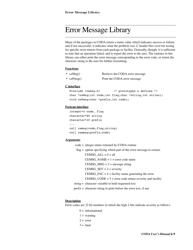# Error Message Library

Many of the packages in CODA return a status value which indicates success or failure, and if not successful, it indicates what the problem was. C header files exist for testing for specific error returns from each package or facility. Generally, though, it is sufficient to note that an operation failed, and to report the error to the user. The routines in this library can either print the error message corresponding to the error code, or return the character string to the user for further formatting.

#### **Functions**

| • ceMsg $()$  | Retrieve the CODA error message |
|---------------|---------------------------------|
| • ce $Pmsg()$ | Print the CODA error message    |

#### **C interface**

```
#include <cemsg.h> /* prototypes & defines */
char *ceMsg(int code,int flag,char *string,int strlen);
void cePmsg(char *prefix,int code);
```
#### **Fortran interface**

integer\*4 code, flag character\*80 string character\*20 prefix ... call cemsg(code, flag, string) call cepmsg(prefix,code)

#### **Arguments**

| $code = integer$ status returned by CODA routine                      |
|-----------------------------------------------------------------------|
| $flag = option specifying which part of the error message to extract$ |
| CEMSG $ALL = 0 = all$                                                 |
| CEMSG NAME = $1$ = error code name                                    |
| $CEMSG_MSG = 2$ = message string                                      |
| $CEMSG$ <sub>_</sub> SEV = 3 = severity                               |
| CEMSG_FAC = $4$ = facility name generating the error                  |
| $CEMSG\_CODE = 5 = error code minus severity and facility$            |
| string $=$ character variable to hold requested text                  |
| $prefix = character string to print before the error text, if any$    |
|                                                                       |

#### **Description**

Error codes are 32 bit numbers in which the high 2 bits indicate severity as follows:

- $0 =$  informational
- $1 =$  warning
- $2 =$  error
- $3 = \text{fatal}$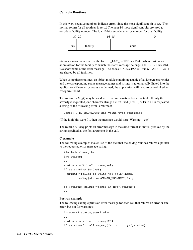#### **Callable Routines**

In this way, negative numbers indicate errors since the most significant bit is set. (The normal return for all routines is zero.) The next 14 most significant bits are used to encode a facility number. The low 16 bits encode an error number for that facility:



Status message names are of the form S\_FAC\_BRIEFERRMSG, where FAC is an abbreviation for the facility to which the status message belongs, and BRIEFERRMSG is a short name of the error message. The codes  $S_SUCCESS = 0$  and  $S_FAILURE = -1$ are shared by all facilities.

When using these routines, an object module containing a table of all known error codes and the corresponding status message names and strings is automatically linked into the application (if new error codes are defined, the application will need to be re-linked to recognize them).

The routine *ceMsg*() may be used to extract information from this table. If only the severity is requested, one character strings are returned (I, W, E, or F). If all is requested, a string of the following form is returned:

Error: S\_SC\_BADVALTYP Bad value type specified

(If the high bits were 01, then the message would start 'Warning:', etc.).

The routine *cePmsg* prints an error message in the same format as above, prefixed by the string specified as the first argument in the call.

#### **C example**

The following examples makes use of the fact that the ceMsg routines returns a pointer to the requested error message string:

```
#include <cemsg.h>
int status;
...
status = scWriteInt(name, val);
if (status!=S_SUCCESS)
  printf("failed to write %s: %s\n",name,
         ceMsg(status,CEMSG_MSG,NULL,0));
...
if (status) cePmsg("error in xyz",status);
...
```
### **Fortran example**

The following example prints an error message for each call that returns an error or fatal error, but not for warnings:

```
integer*4 status,scwriteint
...
status = scwriteint(name,1234)
if (status<0) call cepmsg("error in xyz",status)
```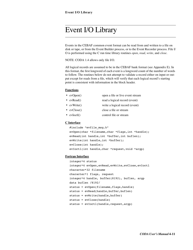# Event I/O Library

Events in the CEBAF common event format can be read from and written to a file on disk or tape, or from the Event Builder process, or to the Event Recorder process. File I/ O is performed using the C run time library routines *open*, *read*, *write*, and *close*.

NOTE: CODA 1.4 allows only file I/O.

All logical records are assumed to be in the CEBAF bank format (see Appendix E). In this format, the first longword of each event is a longword count of the number of words to follow. The routines below do not attempt to validate a record either on input or output except for reads from a file, which will verify that each logical record's starting point is consistent with information in the block header.

#### **Functions**

- evOpen() open a file or live event stream
- evRead() read a logical record (event)
- evWrite() write a logical record (event)
- evClose() close a file or stream
- evIoctl() control file or stream

#### **C Interface**

```
#include "evfile_msg.h"
evOpen(char *filename,char *flags,int *handle);
evRead(int handle,int *buffer,int buflen);
evWrite(int handle,int *buffer);
evClose(int handle);
evIoctl(int handle,char *request,void *argp)
```
#### **Fortran Interface**

```
integer*4 status
integer*4 evOpen,evRead,evWrite,evClose,evIoctl
character*32 filename
character*1 flags, request
integer*4 handle, buffer(8192), buflen, argp
data buflen /8192/
status = evOpen(filename, flags, handle)
status = evRead(handle, buffer, buflen)
status = evWrite(handle,buffer)
status = evClose(handle)
status = evIoctl(handle, request, argp)
```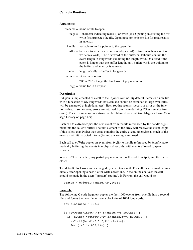#### **Arguments**

filename  $=$  name of file to open

- flags  $= 1$  character indicating read  $(R)$  or write  $(W)$ . Opening an existing file for write first truncates the file. Opening a non-existent file for read results in an error.
- handle  $=$  variable to hold a pointer to the open file
- buffer = buffer into which an event is read (evRead) or from which an event is written(evWrite). The first word of the buffer will/should contain the event length in longwords excluding the length word. On a read if the event is longer than the buffer length, only buflen words are written to the buffer, and an error is returned.
- buflen = length of caller's buffer in longwords
- request = I/O request option:

"B" or "b": change the blocksize of physical records

argp = value for I/O request

#### **Description**

EvOpen is implemented as a call to the C *fopen* routine. By default it creates a new file with a blocksize of 8K longwords (this can and should be extended if large event files will be generated at high data rates). Each routine returns success or error as the function value. In some cases, errors are returned from the underlying I/O system (i.e.from errno). The error message as a string can be obtained via a call to ceMsg (see Error Message Library on page 4-9).

Each call to evRead copies the next event from the file referenced by the handle argument into the caller's buffer. The first element of the array will receive the event length; if this is less than *buflen* then array contains the entire event, otherwise as much of the event as will fit is copied into *buffer* and a warning is returned.

Each call to evWrite copies an event from *buffer* to the file referenced by *handle*, automatically buffering the events into physical records, with events allowed to span records.

When evClose is called, any partial physical record is flushed to output, and the file is closed.

The default blocksize can be changed by a call to evIoctl. The call must be made immediately after opening a new file for write access (i.e. in the online analyzer the call should be made in the users "prestart" routine). In Fortran, the call would be

```
status = evioctl(handle,"b",16384)
```
#### **Example**

The following C code fragment copies the first 1000 events from one file into a second file, and forces the new file to have a blocksize of 1024 longwords.

```
int blocksize = 1024;
...
if (evOpen("input","r", &handle) == S SUCCESS) {
  if (evOpen("output","w", &handle2) == S SUCCESS) {
    evIoctl(handle2,"b",&blocksize);
    for (i=0;i<1000;i++) {
```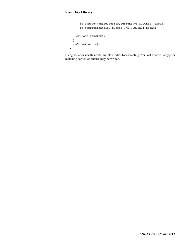# **Event I/O Library**

```
if(evRead(handle,buffer,buflen)!=S_SUCCESS) break;
      if(evWrite(handle2,buffer)!=S_SUCCESS) break;
   }
   evClose(handle2);
 }
 evClose(handle);
}
```
Using variations on this code, simple utilities for extracting events of a particular type or matching particular criteria may be written.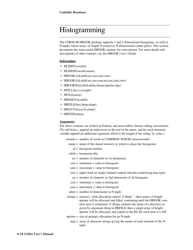# Histogramming

The CERNLIB HBOOK package supports 1 and 2 dimensional histograms, as well as N-tuples (short arrays of length N treated as N-dimensional scatter plots). This section documents the most useful HBOOK routines for convenience. For more details and descriptions of other routines, see the HBOOK User's Guide.

### **Subroutines**

- HLIMIT(nwords)
- HLIMAP(nwords,name)
- HBOOK1(id,chtitl,nx,xmi,xma,vmx)
- HBOOK2(id,chtitl,nx,xmi,xma,ny,ymi,yma,vmx)
- HBOOKN(id,chtitl,ndim,chrzpa,nprime,tags)
- HFILL(id,x,y,weight)
- HFN(id, array)
- HRESET(id, chtitl)
- HRFILE(lun,chtop,chopt)
- HROUT(id,icycle,chopt)
- HREND(chtop)

## **Arguments**

The above routines are written in Fortran, and must follow fortran calling conventions. (To call from c, append an underscore to the end of the name, and for each character variable append an additional argument which is the length of the string, by value.)

nwords = number of words in COMMON /PAWM/ array(nwords)

- name = name of the shared memory in which to place the histograms
	- $id = histogram number$
- $\text{chtitl} = \text{histogram title}$ 
	- $nx =$  number of channels in 1st dimension
- $xmi = minimum x value to histogram$
- xma = maximum x value to histogram
- vmx = upper limit on single channel content (dictates underlying data type)
	- ny = number of channels in 2nd dimension of 2d histogram
- ymi = minimum y value to histogram
- yma = maximum y value to histogram
- ndim = number of dimensions in N-tuple
- chrzpa = memory / disk allocation control: if blank '', then arrays of length nprime will be allocated and filled, continuing until the HBOOK common area is exhausted; if chrzpa contains the name of a directory as given by argument chtop to HRFILE, then a single array of length nprime will be allocated, and copied to the RZ file each time it is full
- nprime = size of primary allocation for an N-tuple
	- tags = array of character strings giving the names of each element of the Ntuple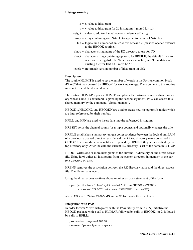#### **Histogramming**

- $x = x$  value to histogram
- $y = y$  value to histogram for 2d histogram (ignored for 1d)
- weight = value to add to channel contents referenced by  $x,y$
- $array = array containing one N-tuple to append to the set of N-tuples$ 
	- lun = logical unit number of an RZ direct access file (must be opened external to the HBOOK routines)
- chtop = character string name of the RZ directory to use for I/O
- chopt  $=$  character string containing options; for HRFILE, the default ( $\degree$ ) is to open an existing disk file, 'N' creates a new file, and 'U' updates an existing file; for HROUT, must be ' '
- icycle = (returned) version number of histogram on disk

### **Description**

The routine HLIMIT is used to set the number of words in the Fortran common block /PAWC/ that may be used by HBOOK for working storage. The argument to this routine must not exceed the declared value.

The routine HLIMAP replaces HLIMIT, and places the histograms into a shared memory whose name (4 characters) is given by the second argument. PAW can access this shared memory by the command "global <name>".

HBOOK1, HBOOK2, and HBOOKN are used to create new histograms/n-tuples which are later referenced by their number.

HFILL and HFN are used to insert data into the referenced histogram.

HRESET zeros the channel counts (or n-tuple count), and optionally changes the title.

HRFILE establishes a temporary unique correspondence between the logical unit LUN of a previously opened direct access file and the RZ top directory name contained in CHTOP. If several direct access files are opened by HRFILE, they are identified by the top directory only. After the call, the current RZ directory is set to the name in CHTOP.

HROUT writes one or more histograms to the current RZ directory on the direct access file. Using id=0 writes all histograms from the current directory in memory to the current directory on disk.

HREND removes the association between the RZ directory name and the direct access file. The file remains open.

Using the direct access routines above requires an open statement of the form

```
open(unit=lun,file='myfile.dat',form='UNFORMATTED',
     access='DIRECT', status='UNKNOWN', recl=XXX)
```
where XXX is 1024 for VAX/VMS and 4096 for most other machines.

#### **Integration with PAW**

In order to view "live" histograms with the PAW utility from CERN, initialize the HBOOK package with a call to HLIMAP, followed by calls to HBOOK1 or 2, followed by calls to HFILL:

parameter nwpaw=100000 common /pawc/ipacw(nwpaw)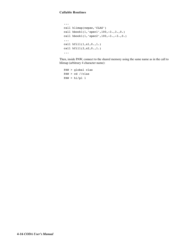# **Callable Routines**

```
...
call hlimap(nwpaw,'CLAS')
call hbook1(1,'spec1',100,-3.,3.,0.)
call hbook1(1,'spec2',100,-3.,-3.,0.)
...
call hfill(1,x1,0.,1.)
call hfill(2,x2,0.,1.)
...
```
Then, inside PAW, connect to the shared memory using the same name as in the call to hlimap (arbitrary 4 character name):

```
PAW > global clas
PAW > cd //clas
PAW > hi/pl 1
```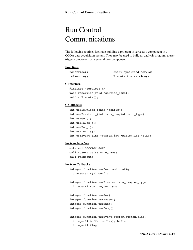# Run Control Communications

The following routines facilitate building a program to serve as a component in a CODA data acquisition system. They may be used to build an analysis program, a user trigger component, or a general user component.

#### **Functions**

| rcService()          | Start specified service    |
|----------------------|----------------------------|
| $r$ c $x$ ecute $()$ | Execute the service( $s$ ) |

#### **C Interface**

```
#include "services.h"
void rcService(void *service name);
void rcExecute();
```
#### **C Callbacks**

```
int usrDownload_(char *config);
int usrPrestart (int *run num, int *run type);
int usrGo_();
int usrPause ();
int usrEnd_();
int usrDump_();
int usrEvent (int *buffer, int *buflen, int *flag);
```
#### **Fortran Interface**

```
external service_name
call rcService(service_name)
call rcExecute()
```
#### **Fortran Callbacks**

```
integer function usrDownload(config)
 character *(*) config
```
integer function usrPrestart(run\_num,run\_type) integer\*4 run\_num,run\_type

integer function usrGo() integer function usrPause() integer function usrEnd() integer function usrDump()

integer function usrEvent(buffer,bufmax,flag) integer\*4 buffer(buflen), buflen integer\*4 flag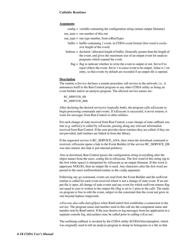#### **Callable Routines**

#### **Arguments**

- $\text{config} = \text{variable containing the configuration string (minus output filename)}$
- run\_num  $=$  run number of this run
- run\_type = run type number, from rcRunTypes
	- buffer = buffer containing 1 event, in CODA event format (first word is exclusive length of the event)
- bufmax = declared / allocated length of buffer. Generally greater than the length of the event, and gives the maximum size of an output event for analysis programs which expand the event.
	- flag  $=$  flag to indicate whether to write the event to output or not. Set to 0 to reject (filter) the event. Set to 1 to cause event to be output. Value is 1 on entry, so that events by default are recorded if an output file is opened.

## **Description**

The routine *rcService* declares a remote procedure call service to the network; i.e., it announces itself to the Run Control program or any other CODA utility as being an event builder and/or an analysis program. The allowed service names are:

RC\_SERVICE\_EB RC\_SERVICE\_ANA

After declaring the desired service(s) (typically both), the program calls rcExecute to begin processing commands and events. If rcExecute is successful, it never returns; it waits for messages from Run Control or other utilities.

For each change of state received from Run Control, a user change of state callback routine (e.g. usrGo()) is called by rcExecute, passing along any relevant information received from Run Control. If the user provides these routines they are called; if they are not provided, null routines are linked in from the library.

If the requested service is RC\_SERVICE\_ANA, then when the download command is received, rcExecute opens a link to the Event Builder (if the service RC\_SERVICE\_EB was also started, this link is just internal pointers).

Also at download, Run Control passes the configuration string (everything after the object name) from the users .config file to rcExecute. The first word of this string (up to the first white space) is interpreted by rcExecute as an output filename. If this word is uppercase NOLOG, then no output file is used. Any characters after the first word are passed to the users usrDownload routine as the *config* argument.

Following any go command, events are read from the Event Builder and the usrEvent routine is called for each event received which is not a change of state event. If an output file is open, all change of state events and any event for which usrEvent returns flag not equal to zero is written to the output file (flag is set to 1 prior to the call). The analysis program is free to edit the event, subject to the constraint that the event not grow in size beyond *bufmax* longwords.

*rcExecute* also calls *daLogOpen* when RunControl first establishes a connection to the service. The program name and number used in this call are the component name and number sent by RunControl. If the user desires to log messages from his application to a separate console log, *daLogOpen* may be called prior to calling *rcExecute*.

The usrDump callback is invoked by the CODA utility \$CODA/bin/cdumphist, which was originally used to tell an analysis program to dump its histograms to a file so that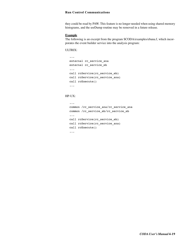#### **Run Control Communications**

they could be read by PAW. This feature is no longer needed when using shared memory histograms, and the usrDump routine may be removed in a future release.

### **Example**

The following is an excerpt from the program \$CODA/examples/ebana.f, which incorporates the event builder service into the analysis program:

### ULTRIX:

```
...
external rc service ana
external rc_service_eb
...
call rcService(rc service eb)
call rcService(rc_service_ana)
call rcExecute()
...
```
HP-UX:

```
...
common /rc_service_ana/rc_service_ana
common /rc_service_eb/rc_service_eb
...
call rcService(rc_service_eb)
call rcService(rc service ana)
call rcExecute()
...
```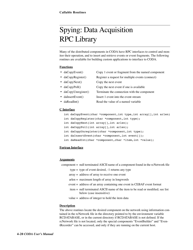# Spying: Data Acquisition RPC Library

Many of the distributed components in CODA have RPC interfaces to control and monitor their operation, and to insert and retrieve events or event fragments. The following routines are available for building custom applications to interface to CODA.

## **Functions**

- daCopyEvent() Copy 1 event or fragment from the named component
- daCopyRegister() Register a request for multiple events (connect)
- daCopyNext() Copy the next event
- daCopyPoll() Copy the next event if one is available
- daCopyUnregister() Terminate the connection with the component
- daInsertEvent() Insert 1 event into the event stream
- daReadInt() Read the value of a named variable

## **C Interface**

- int daCopyEvent(char \*component,int type,int array[],int arlen)
- int daCopyRegister(char \*component,int type);
- int daCopyNext(int array[],int arlen);
- int daCopyPoll(int array[],int arlen);
- int daCopyUnregister(char \*component,int type);
- int daInsertEvent(char \*component,int event[]);
- int daReadInt(char \*component,char \*item,int \*value);

# **Fortran Interface**

## **Arguments**

component = null terminated ASCII name of a component found in the rcNetwork file

- type = type of event desired, -1 returns any type
- array = address of array to receive one event
- arlen = maximum length of array in longwords
- event = address of an array containing one event in CEBAF event format
- item = null terminated ASCII name of the item to be read or modified; see list below (case insensitive)
- value = address of integer to hold the item data

## **Description**

The above routines locate the desired component on the network using information contained in the rcNetwork file in the directory pointed to by the environment variable RCDATABASE, or in the current directory if RCDATABASE is not defined. If the rcNetwork file is not located, only the special components "EventBuilder" and "EventRecorder" can be accessed, and only if they are running on the current host.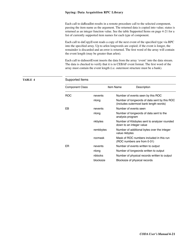### **Spying: Data Acquisition RPC Library**

Each call to daReadInt results in a remote procedure call to the selected component, passing the item name as the argument. The returned data is copied into value; status is returned as an integer function value. See the table Supported Items on page 4-21 for a list of currently supported item names for each type of component.

Each call to daCopyEvent reads a copy of the next event of the specified type via RPC into the specified array. Up to arlen longwords are copied; if the event is longer, the remainder is discarded and an error is returned. The first word of the array will contain the event length (may be greater than arlen).

Each call to daInsertEvent inserts the data from the array 'event' into the data stream. The data is checked to verify that it is in CEBAF event format. The first word of the array must contain the event length (i.e. outermost structure must be a bank).

| Supported Items        |           |                  |                                                                                        |
|------------------------|-----------|------------------|----------------------------------------------------------------------------------------|
| <b>Component Class</b> |           | Item Name        | Description                                                                            |
| <b>ROC</b>             | nevents   |                  | Number of events seen by this ROC                                                      |
|                        | nlong     |                  | Number of longwords of data sent by this ROC<br>(includes outermost bank length words) |
| EB                     | nevents   |                  | Number of events seen                                                                  |
|                        | nlong     | analysis program | Number of longwords of data sent to the                                                |
|                        | nkbytes   |                  | Number of Kilobytes sent to analyzer rounded<br>down to an integer value               |
|                        | remkbytes | value nkbytes    | Number of additional bytes over the integer                                            |
|                        | rocmask   |                  | Mask of ROC numbers included in this run<br>(ROC numbers are from 0-31)                |
| ER                     | nevents   |                  | Number of events written to output                                                     |
|                        | nlong     |                  | Number of longwords written to output                                                  |
|                        | nblocks   |                  | Number of physical records written to output                                           |
|                        | blocksize |                  | Blocksize of physical records                                                          |

#### **TABLE 4**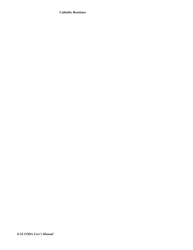**Callable Routines**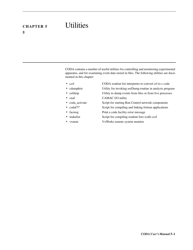**5**

# **CHAPTER <sup>5</sup>** Utilities

CODA contains a number of useful utilities for controlling and monitoring experimental apparatus, and for examining event data stored in files. The following utilities are documented in this chapter:

- 
- ccrl CODA readout list interpreter to convert crl to c code
- cdumphist Utility for invoking usrDump routine in analysis program
- cefdmp Utility to dump events from files or from live processes • cnaf CAMAC I/O utility
- coda\_activate Script for starting Run Control network components
- codaf77 Script for compiling and linking fortran applications
- facmsg Print a coda facility error message
- makelist Script for compiling readout lists (calls ccrl
- vxmon VxWorks remote system monitor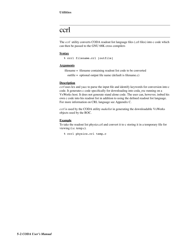# ccrl

The *ccrl* utility converts CODA readout list language files (.crl files) into c code which can then be passed to the GNU 68K cross compilers

#### **Syntax**

% ccrl filename.crl [outfile]

#### **Arguments**

filename = filename containing readout list code to be converted

outfile = optional output file name (default is filename.c)

#### **Description**

*ccrl* uses lex and yacc to parse the input file and identify keywords for conversion into c code. It generates c code specifically for downloading into coda\_roc running on a VxWorks host. It does not generate stand alone code. The user can, however, imbed his own c code into his readout list in addition to using the defined readout list language. For more information on CRL language see Appendix C.

*ccrl* is used by the CODA utility *makelist* in generating the downloadable VxWorks objects used by the ROC.

#### **Example**

To take the readout list physics.crl and convert it to c storing it in a temporary file for viewing (i.e. temp.c).

% ccrl physics.crl temp.c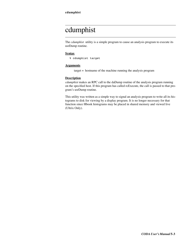# cdumphist

The *cdumphist* utility is a simple program to cause an analysis program to execute its usrDump routine.

# **Syntax**

% cdumphist target

# **Arguments**

target = hostname of the machine running the analysis program

# **Description**

*cdumphist* makes an RPC call to the daDump routine of the analysis program running on the specified host. If this program has called rcExecute, the call is passed to that program's usrDump routine.

This utility was written as a simple way to signal an analysis program to write all its histograms to disk for viewing by a display program. It is no longer necessary for that function since Hbook histograms may be placed in shared memory and viewed live (Ultrix Only).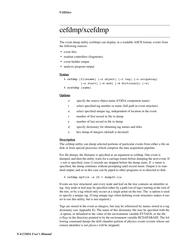# cefdmp/xcefdmp

The event dump utility (cefdmp) can display, in a readable ASCII format, events from the following sources:

- event files
- readout controllers (fragments)
- event builder output
- analysis program output

#### **Syntax**

```
% cefdmp [filename] [-o object] [-t tag] [-u uniquetag]
          [-s start] [-e end] [-d dictionary] [-x]
% xcefdmp [same]
```
#### **Options**

- o specify the source object name (CODA component name)
- t select specified tag number or name (full path in event structure)
- u select specified unique tag, independent of location in the event
- s number of first record in file to dump
- e number of last record in file to dump
- d specify dictionary for obtaining tag names and titles
- x hex dump of integers (default is decimal)

#### **Description**

The cefdmp utility can dump selected portions of particular events from either a file on disk or from special processes which comprise the data acquisition pipeline.

For file dumps, the filename is specified as an argument to cefdmp. One event is dumped, and then the utility waits for a carriage return before dumping the next event. If *-s nnn* is specified, (*nnn*-1) records are skipped before the dump starts. If *-e mmm* is specified, the dump continues without prompting until record *mmm*. Output is to standard output, and so in this case can be piped to other programs or re-directed to disk:

% cefdmp myfile -e 20 > dump20.lis

Events are tree structured, and every node and leaf on the tree contains an identifier or tag. Any node or leaf may be specified either by a path (set of tags) starting at the root of the tree, or by a tag which only occurs at a single point on the tree. The -u option is used to specify a unique tag. (Using unique tags when defining event structures makes it easier to use this utility, but is not required.)

Tags are stored in the event as integers, but may be referenced by names stored in a tag dictionary (see Appendix E). The name of this dictionary file may be specified with the -d option, or defaulted to the value of the environment variable EVTAGS, or the file *evTags* in the directory pointed to by the environment variable RCDATABASE. The following command dumps the drift chamber portion of physics events (events whose outermost identifier is not *physics* will be skipped):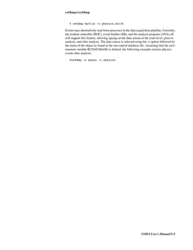# **cefdmp/xcefdmp**

% cefdmp myfile -t physics.drift

Events may alternatively read from processes in the data acquisition pipeline. Currently, the readout controller (ROC), event builder (EB), and the analysis program (ANA) all will support this feature, allowing spying on the data stream at the crate level, prior to analysis, and after analysis. The data source is selected using the -*o* option followed by the name of the object as found in the run control database file. Assuming that the environment variable RCDATABASE is defined, the following example extracts physics events after analysis:

%cefdmp -o myana -t physics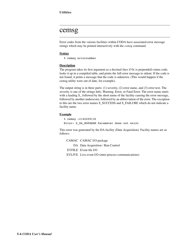# cemsg

Error codes from the various facilities within CODA have associated error message strings which may be printed interactively with the *cemsg* command.

#### **Syntax**

% cemsg errornumber

#### **Description**

The program takes its first argument as a decimal (hex if 0x is prepended) status code, looks it up in a compiled table, and prints the full error message to stdout. If the code is not found, it prints a message that the code is unknown. (This would happen if the cemsg utility were out of date, for example).

The output string is in three parts: (1) severity, (2) error name, and (3) error text. The severity is one of the strings Info, Warning, Error, or Fatal Error. The error name starts with a leading S\_ followed by the short name of the facility causing the error message, followed by another underscore, followed by an abbreviation of the error. The exception to this are the two error names S\_SUCCESS and S\_FAILURE which do not indicate a facility name.

#### **Example**

% cemsg -2140209130 Error: S\_DA\_NOPARAM Parameter does not exist

This error was generated by the DA facility (Data Acquisition). Facility names are as follows:

CAMAC CAMAC I/O package DA Data Acquisition / Run Control EVFILE Event file I/O EVLIVE Live event I/O (inter-process communications)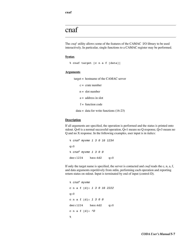# cnaf

The *cnaf* utility allows some of the features of the CAMAC I/O library to be used interactively. In particular, single functions to a CAMAC register may be performed.

### **Syntax**

% cnaf target [c n a f [data]]

#### **Arguments**

target = hostname of the CAMAC server

 $c =$  crate number

 $n =$  slot number

 $a =$  address in slot

 $f =$  function code

 $data = data for write functions (16-23)$ 

#### **Description**

If all arguments are specified, the operation is performed and the status is printed onto stdout.  $Q=0$  is a normal successful operation,  $Q=1$  means no Q response,  $Q=3$  means no Q and no X response. In the following examples, user input is in italics:

```
% cnaf myvme 1 3 0 16 1234
q:0
% cnaf myvme 1 3 0 0
dec:1234 hex:4d2 q:0
```
If only the target name is specified, the server is contacted and *cnaf* reads the c, n, a, f, and data arguments repetitively from stdin, performing each operation and reporting return status on stdout. Input is terminated by end of input (control-D).

```
% cnaf myvme
c n a f [d]: 1 3 0 16 2222
q:0
c n a f [d]: 1 3 0 0
dec:1234 hex:4d2 q:0
c n a f [d]: \Delta D%
```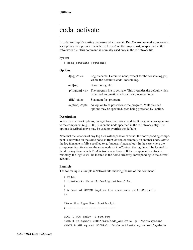# coda\_activate

In order to simplify starting processes which contain Run Control network components, a script has been provided which invokes *rsh* on the proper host, as specified in the rcNetwork file. This command is normally used only in the rcNetwork file.

#### **Syntax**

% coda\_activate [options]

#### **Options**

| $-1$ [og] $\langle$ file $>$ | Log filename. Default is none, except for the console logger,<br>where the default is coda_console.log.                                   |
|------------------------------|-------------------------------------------------------------------------------------------------------------------------------------------|
| $-nol[og]$                   | Force no log file.                                                                                                                        |
|                              | $-p[rogram]$ <p> The program file to activate. This overrides the default which<br/>is derived automatically from the component type.</p> |
| $-f[i] <$ file $>$           | Synonym for -program.                                                                                                                     |
| -o ption  <opt></opt>        | An option to be passed onto the program. Multiple such<br>options may be specified, each being preceded by -option.                       |

#### **Description:**

When used without options, coda\_activate activates the default program corresponding to the component (e.g. ROC, EB) on the node specified in the rcNetwork entry. The options described above may be used to override the defaults.

Note that the location of any log files will depend on whether the corresponding component is activated on the same node as RunControl, or remotely on another node, *unless* the log filename is fully specified (e.g. /usr/users/me/ana.log). In the case where the component is activated on the same node as RunControl, the logfile will be located in the directory from which RunControl was activated. If the component is activated remotely, the logfile will be located in the home directory corresponding to the current account.

#### **Example**

The following is a sample rcNetwork file showing the use of this command:

```
! File:-
! rcNetwork: Network Configuration file.
!
! A Host of $NODE implies the same node as RunControl.
!-
!Name Num Type Host BootScript
!---- --- ---- ---- ----------
ROC1 1 ROC dadev -l roc.log
MYEB 0 EB myhost $CODA/bin/coda activate -p ~/test/myebana
MYANA 0 ANA myhost $CODA/bin/coda activate -p ~/test/myebana
```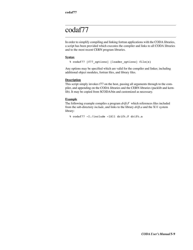# codaf77

In order to simplify compiling and linking fortran applications with the CODA libraries, a script has been provided which executes the compiler and links to all CODA libraries and to the most recent CERN program libraries.

## **Syntax**

% codaf77 [f77\_options] [loader\_options] file(s)

Any options may be specified which are valid for the compiler and linker, including additional object modules, fortran files, and library files.

## **Description**

This script simply invokes f77 on the host, passing all arguments through to the compiler, and appending on the CODA libraries and the CERN libraries (packlib and kernlib). It may be copied from \$CODA/bin and customized as necessary.

# **Example**

The following example compiles a program *drift.F* which references files included from the sub-directory *include*, and links to the library *drift.a* and the X11 system library:

% codaf77 -I./include -lX11 drift.F drift.a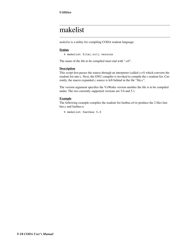# makelist

*makelist* is a utility for compiling CODA readout language.

#### **Syntax**

% makelist file[.crl] version

The name of the file to be compiled must end with ".crl".

## **Description**

This script first passes the source through an interpreter (called *ccrl*) which converts the readout list into c. Next, the GNU compiler is invoked to compile the c readout list. Currently, the macro expanded c source is left behind in the file "file.c".

The version argument specifies the VxWorks version number the file is to be compiled under. The two currently supported versions are 5.0 and 5.1.

## **Example**

The following example compiles the readout list fastbus.crl to produce the 2 files fastbus.c and fastbus.o:

% makelist fastbus 5.0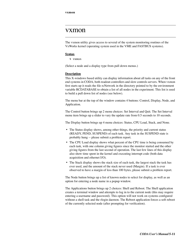## vxmon

The vxmon utility gives access to several of the system monitoring routines of the VxWorks kernel (operating system used in the VME and FASTBUS systems).

## **Syntax**

% vxmon

(Select a node and a display type from pull down menus.)

## **Description**

This X-windows based utility can display information about all tasks on any of the front end systems in CODA, both readout controllers and slow controls servers. When vxmon first starts up it reads the file rcNetwork in the directory pointed to by the environment variable RCDATABASE to obtain a list of all nodes in the experiment. This list is used to build a pull down list of nodes (see below).

The menu bar at the top of the window contains 4 buttons: Control, Display, Node, and Application.

The Control button brings up 2 menu choices: Set Interval and Quit. The Set Interval menu item brings up a slider to vary the update rate from 0.5 seconds to 10 seconds.

The Display button brings up 4 menu choices: Status, CPU Load, Stack, and None.

- The Status display shows, among other things, the priority and current status (READY, PEND, SUSPEND) of each task. Any task in the SUSPEND state is probably hung -- please submit a problem report.
- The CPU Load display shows what percent of the CPU time is being consumed by each task, with one column giving figures since the monitor started and the other giving figures from the last second of operation. The last few lines of this display also show time spent in the kernel and executing interrupt code (both data acquisition and ethernet I/O).
- The Stack display shows the stack size of each task, the largest stack the task has ever used, and the amount of the stack never used (Margin). If a task is ever observed to have a margin of less than 100 bytes, please submit a problem report.

The Node button brings up a list of known nodes to select for display, as well as an option for entering a node name in a popup window.

The Applications button brings up 2 choices: Shell and Reboot. The Shell application creates a terminal window and attempts to log in to the current node (this may require entering a username and password). This option will not work on systems configured without a shell task and the rlogin daemon. The Reboot application forces a soft reboot of the currently selected node (after prompting for verification).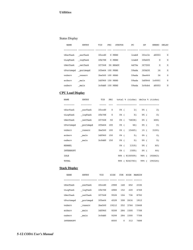## Status Display

| NAME               | ENTRY   | TID             | PRI | STATUS   | $_{\rm PC}$ | SP     | ERRNO       | DELAY        |
|--------------------|---------|-----------------|-----|----------|-------------|--------|-------------|--------------|
|                    |         |                 |     |          |             |        |             |              |
| tExcTask           | excTask | 3fccd0          |     | 0 PEND   | 1cab8       | 3fcc3c | d0003       | $\Omega$     |
| tLogTask logTask   |         | 3fb788          |     | 0 PEND   | $1$ cab $8$ | 3fb6f0 | $\mathbf 0$ | $\mathbf{0}$ |
| tNetTask           | netTask | 3f7568          |     | 50 READY | 4d79e       | 3f7500 | $\mathbf 0$ | $\Omega$     |
| tPortmapd portmapd |         | 3f0e64 100 PEND |     |          | 59ada       | 3f0d30 | 16          | $\mathbf{0}$ |
| vxServ             | vxserv  | 3be560 100 PEND |     |          | 59ada       | 3be464 | 36          | $\mathbf{0}$ |
| scServ             | main    | 3df960 150 PEND |     |          | 59ada       | 3df844 | 1c0001      | $\mathbf{0}$ |
| caServ             | main    | 3c0dd0 150 PEND |     |          | 59ada       | 3c0cb4 | d0003       | $\mathbf{0}$ |

## **CPU Load Display**

| NAME      | ENTRY    | TID    | PRI         |      | total % (ticks) delta % (ticks) |         |       |
|-----------|----------|--------|-------------|------|---------------------------------|---------|-------|
|           |          |        |             |      |                                 |         |       |
| tExcTask  | excTask  | 3fccd0 | $\mathbf 0$ |      | 2)<br>$0\%$ (                   | $0\%$ ( | 2)    |
| tLoqTask  | loqTask  | 3fb788 | $\mathbf 0$ | 0% ( | 0)                              | $0\%$ ( | 0)    |
| tNetTask  | netTask  | 3f7568 | 50          |      | 0 % ( 74838)                    | $0\%$ ( | 408)  |
| tPortmapd | portmapd | 3f0e64 | 100         |      | $0\%$ (<br>46)                  | $0\%$ ( | 0)    |
| vxServ    | vxserv   | 3be560 | 100         |      | 0\; ( 15465)                    | 1% (    | 3100) |
| scServ    | main     | 3df960 | 150         |      | 5)<br>$0\%$ (                   | $0\%$ ( | 0)    |
| caServ    | main     | 3c0dd0 | 150         |      | $0\%$ (<br>0)                   | $0\%$ ( | 0)    |
| KERNEL    |          |        |             |      | 0% ( 1310) 0% (                 |         | 60)   |
| INTERRUPT |          |        |             |      | 0% ( 1500) 0% ( 44)             |         |       |
| IDLE      |          |        |             |      | 98% (8150509) 98% (192662)      |         |       |
| TOTAL     |          |        |             |      | 98% (8243783) 99% (196326)      |         |       |

## **Stack Display**

| <b>NAME</b> | ENTRY    | TID    | SIZE  | <b>CUR</b> | HIGH | MARGIN |
|-------------|----------|--------|-------|------------|------|--------|
|             |          |        |       |            |      |        |
| tExcTask    | excTask  | 3fccd0 | 2988  | 148        | 652  | 2336   |
| tLoqTask    | loqTask  | 3fb788 | 4988  | 152        | 220  | 4768   |
| tNetTask    | netTask  | 3f7568 | 9528  | 104        | 736  | 8792   |
| tPortmapd   | portmapd | 3f0e64 | 4528  | 308        | 2616 | 1912   |
| vxServ      | vxserv   | 3be560 | 19212 | 252        | 3764 | 15448  |
| scServ      | main     | 3df960 | 9208  | 284        | 1500 | 7708   |
| caServ      | main     | 3c0dd0 | 9208  | 284        | 1500 | 7708   |
| INTERRUPT   |          |        | 8000  | $\Omega$   | 312  | 7688   |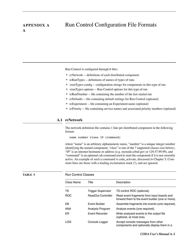Run Control is configured through 8 files:

- rcNetwork -- definitions of each distributed component
- rcRunTypes -- definitions of names of types of runs
- <*runType>.config* -- configuration strings for components in this type of run
- <runType>.options -- Run Control options for this type of run
- rcRunNumber -- file containing the number of the last started run
- rcDefaults -- file containing default settings for Run Control (optional)
- rcExperiment -- file containing an Experiment name (optional)
- rcPriority -- file containing service names and associated priority numbers (optional)

## **A.1 rcNetwork**

The network definition file contains 1 line per distributed component in the following format:

name number class IP [command]

where "name" is an arbitrary alphanumeric name, "number" is a unique integer number identifying the named component, "class" is one of the 7 supported classes (see below), "IP" is an internet hostname or address (e.g. mynode.cebaf.gov or 129.57.99.99), and "command" is an optional csh command used to start the component if it is not currently active. An example of such a command is coda\_activate, discussed in Chapter 5. Comment lines are those with a leading exclamation mark (!), and are ignored.

| <b>Run Control Classes</b> |                           |                                                                                                |  |  |
|----------------------------|---------------------------|------------------------------------------------------------------------------------------------|--|--|
| Class Name                 | Title                     | Description                                                                                    |  |  |
| TS                         | <b>Trigger Supervisor</b> | TS control ROC (optional).                                                                     |  |  |
| <b>ROC</b>                 | ReadOut Controller        | Read event fragments from input boards and<br>forward them to the event builder (one or more). |  |  |
| FB                         | Event Builder             | Assemble fragments into events (one required).                                                 |  |  |
| <b>ANA</b>                 | Analysis Program          | Analyze events (one required).                                                                 |  |  |
| ER                         | Event Recorder            | Write analyzed events to the output file<br>(optional, at most one).                           |  |  |
| LOG                        | Console Logger            | Accept console messages from other<br>components and optionally display them in a              |  |  |

### **TABLE 5**

*CODA User's Manual* **A-1**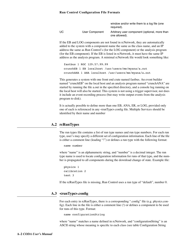|    |                | window and/or write them to a log file (one<br>required).      |
|----|----------------|----------------------------------------------------------------|
| UC | User Component | Arbitrary user component (optional, more than<br>one allowed). |

If the EB and LOG components are not found in rcNetwork, they are automatically added to the system with a component name the same as the class name, and an IP address the same as Run Control's (for the LOG component) or the analysis program (for the EB component). If the EB is listed in rcNetwork, it must have the same IP address as the analysis program. A minimal rcNetwork file would look something like:

```
fastbus 1 ROC 129.57.99.99
crunchEB 1 EB localhost /usr/users/me/myana/a.out
crunchANA 1 ANA localhost /usr/users/me/myana/a.out
```
This generates a system with one front end crate named fastbus. An event builder named "crunchEB" on the local host and an analysis program named "crunchANA" are started by running the file a.out in the specified directory, and a console log running on the local host will also be started. This system is not using a trigger supervisor, nor does it include an event recording process (but may write output events from the analysis program to disk).

It is actually possible to define more than one EB, ANA, ER, or LOG, provided only one of each is referenced in any <runType>.config file. Multiple Services should be identified by their name and number

## **A.2 rcRunTypes**

The run types file contains a list of run type names and run type numbers. For each run type, user's may specify a different set of configuration information. Each line of the file is either a comment line (leading "!") or defines a run type with the following format:

name number

where "name" is an alphanumeric string, and "number" is a decimal integer. The run type name is used to locate configuration information for runs of that type, and the number is propagated to all components during the download change of state. Example file:

physics 1 calibration 2 test 3

If the rcRunTypes file is missing, Run Control uses a run type of "default", number 0.

## **A.3 <runType>.config**

For each entry in rcRunTypes, there is a corresponding ".config" file (e.g. physics.config). Each line in the file is either a comment line (!) or defines a component to be used for runs of this type. Format:

```
name configurationString
```
where "name" matches a name defined in rcNetwork, and "configurationString" is an ASCII string whose meaning is specific to each class (see table Configuration String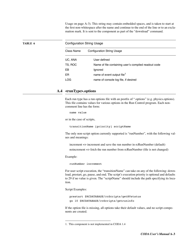Usage on page A-3). This string may contain embedded spaces, and is taken to start at the first non-whitespace after the name and continue to the end of the line or to an exclamation mark. It is sent to the component as part of the "download" command.

| TABLE 6 |            | <b>Configuration String Usage</b>                    |  |  |  |  |  |
|---------|------------|------------------------------------------------------|--|--|--|--|--|
|         | Class Name | <b>Configuration String Usage</b>                    |  |  |  |  |  |
|         | UC, ANA    | User defined                                         |  |  |  |  |  |
|         | TS, ROC    | Name of file containing user's compiled readout code |  |  |  |  |  |
|         | EB.        | Ignored                                              |  |  |  |  |  |
|         | ER.        | name of event output file <sup>1</sup>               |  |  |  |  |  |
|         | <b>LOG</b> | name of console log file, if desired                 |  |  |  |  |  |
|         |            |                                                      |  |  |  |  |  |

## **A.4 <runType>.options**

Each run type has a run options file with an postfix of ".options" (e.g. physics.options). This file contains values for various options in the Run Control program. Each noncomment line has the form:

name value

or in the case of scripts,

transitionName [priority] scriptName

The only non-script option currently supported is "runNumber", with the following values and meanings:

increment => increment and save the run number in rcRunNumber (default)

noincrement => fetch the run number from rcRunNumber (file is not changed)

Example:

runNumber increment

For user script execution, the "transitionName" can take on any of the following: download, prestart, go, pause, and end. The script's execution priority is optional and defaults to 29 if no value is given. The "scriptName" should include the path specifying its location.

Script Examples:

prestart \$RCDATABASE/rcScripts/getHVstatus go 10 \$RCDATABASE/rcScripts/getruninfo

If the option file is missing, all options take their default values, and no script components are created.

<sup>1.</sup> This component is not implemented in CODA 1.4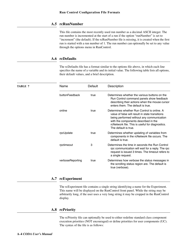## **A.5 rcRunNumber**

This file contains the most recently used run number as a decimal ASCII integer. The run number is incremented at the start of a run if the option "runNumber" is set to "increment" (the default). If the rcRunNumber file is missing, it is created when the first run is started with a run number of 1. The run number can optionally be set to any value through the options menu in RunControl.

## **A.6 rcDefaults**

The rcDefaults file has a format similar to the options file above, in which each line specifies the name of a variable and its initial value. The following table lists all options, their default values, and a brief description.

| Name             | Default | Description                                                                                                                                                                                                                                                    |
|------------------|---------|----------------------------------------------------------------------------------------------------------------------------------------------------------------------------------------------------------------------------------------------------------------|
| buttonFeedback   | true    | Determines whether the various buttons on the<br>Run Control command panels show feedback<br>describing their actions when the mouse cursor<br>enters them. The default is true.                                                                               |
| online           | true    | Determines whether Run Control is online. A<br>value of false will result in state transitions<br>being performed without any communication<br>with the components described in the<br>rcNetwork file. This is useful for diagnostics.<br>The default is true. |
| rpcUpdate        | true    | Determines whether updating of variables from<br>components in the rcNetwork file occurs. The<br>default is true.                                                                                                                                              |
| rpctimeout       | 3       | Determines the time in seconds the Run Control<br>rpc communication will wait for a reply. The rpc<br>request is issued 3 times. The timeout refers to<br>a single request.                                                                                    |
| verboseReporting | true    | Determines how verbose the status messages in<br>the scrolling status region are. The default is<br>true (verbose).                                                                                                                                            |

## **A.7 rcExperiment**

The rcExperiment file contains a single string identifying a name for the Experiment. This name will be displayed on the RunControl front panel. While the string may be arbitrarily long, if the user uses a very long string it may be cropped in the RunControl display.

## **A.8 rcPriority**

The rcPriority file can optionally be used to either redefine standard class component execution priorities (NOT encouraged) or define priorities for user components (UC). The syntax of the file is as follows:

**TABLE 7**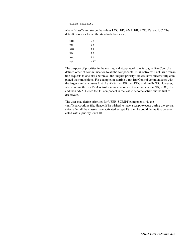## class priority

where "class" can take on the values LOG, ER, ANA, EB, ROC, TS, and UC. The default priorities for all the standard classes are,

| LOG        | 27    |
|------------|-------|
| ER         | 23    |
| ANA        | 19    |
| ЕB         | 15    |
| <b>ROC</b> | 11    |
| тs         | $-27$ |

The purpose of priorities in the starting and stopping of runs is to give RunControl a defined order of communication to all the components. RunControl will not issue transition requests to one class before all the "higher priority" classes have successfully completed their transitions. For example, in starting a run RunControl communicates with the larger number classes first like ANA then EB then ROC and finally TS. However, when ending the run RunControl reverses the order of communication: TS, ROC, EB, and then ANA. Hence the TS component is the last to become active but the first to deactivate.

The user may define priorities for USER\_SCRIPT components via the <runType>.options file. Hence, if he wished to have a script execute during the go transition after all the classes have activated except TS, then he could define it to be executed with a priority level 10.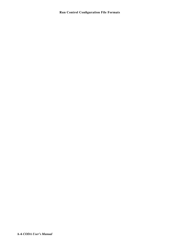**Run Control Configuration File Formats**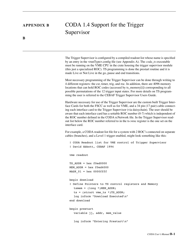## **APPENDIX <sup>B</sup>** CODA 1.4 Support for the Trigger Supervisor

The Trigger Supervisor is configured by a compiled readout list whose name is specified by an entry in the <runType>.config file (see Appendix A). The *coda\_ts* executable must be running on the VME CPU in the crate housing the trigger supervisor module (this just a specialized ROC). TS programming is done the prestart routine and it is made Live or Not Live in the go, pause and end transitions.

Most necessary programming of the Trigger Supervisor can be done through writing to 4 different registers: the csr, timer, trig, and roc. In addition, there are 4096 memory locations that can hold ROC codes (accessed by ts\_memory[i]) corresponding to all possible permutations of the 12 trigger input states. For more details on TS programming the user is referred to the CEBAF Trigger Supervisor Users Guide.

Hardware necessary for use of the Trigger Supervisor are the custom built Trigger Interface Cards for both the FSCC as well as for VME, and a 34 pin (17 pair) cable connecting each interface card to the Trigger Supervisor (via daisychain). The user should be aware that each interface card has a settable ROC number (0-7) which is independent of the ROC number defined in the CODA rcNetwork file. In the Trigger Supervisor readout list below the ROC number referred to in the ts->roc register is the one set on the interface card.

For example, a CODA readout list file for a system with 2 ROC's connected on separate cables (branches), and a Level 1 trigger enabled, might look something like this:

```
! CODA Readout list for VME control of Trigger Supervisor
! David Abbott, CEBAF 1994
vme readout
TS ADDR = hex f0ed0000
MEM ADDR = hex f0ed4000MASK_01 = hex 0000ffffbegin download
! Define Pointers to TS control registers and Memory
  tsmem = (long *)MEM_ADDR;
  ts = (struct vme ts *)TS ADDR;
  log inform "Download Executed\n"
end download
begin prestart
  variable jj, addr, mem_value
  log inform "Entering Prestart\n"
```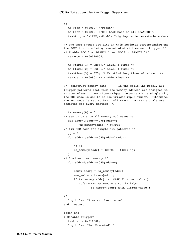## **CODA 1.4 Support for the Trigger Supervisor**

```
%%
  ts->csr = 0x8000; /*reset*/
  ts - 2csr = 0x0200; /*ROC Lock mode on all BRANCHES*/
  ts->trig = 0x1FFF;/*Enable Trig inputs in non-strobe mode*/
/* The user should set bits in this register coressponding the
the ROCS that are being communicated with on each trigger */
/* Enable ROC 3 on BRANCH 1 and ROC0 on BRANCH 3*/
  ts - >roc = 0x00010004;ts->timer[1] = 0x05;/* Level 2 Timer */
  ts->timer[2] = 0x05;/* Level 3 Timer */
  ts->timer[3] = 375; /* FrontEnd Busy timer 40ns/count */
  ts - 5csr = 0x0080; /* Enable Timer */
/* construct memory data --- in the following model, all
trigger patterns that form the memory address are assigned to
trigger class 1. For those trigger patterns with a single hit,
the ROC code is set to be the trigger input number. Otherwise,
the ROC code is set to 0xE. All LEVEL 1 ACCEPT signals are
asserted for every pattern. */
  ts memory[0] = 0;/* assign data to all memory addresses */
  for(addr=1;addr<=4095;addr++)ts memory[addr] = 0xFFE3;
/* fix ROC code for single hit patterns */
  ji = 0;for(addr=1;addr<=4095;addr=2*addr)
  {
     jj++;ts memory[addr] = 0xFF03 + (0x10)*ij;}
/* load and test memory */
  for(addr=0;addr<=4095;addr++){
     tsmem[addr] = ts memory[addr];
     mem_value = tsmem[addr];
     if(ts memory[addr] != (MASK 01 & mem value))
     printf("***** TS memory error %x %x\n",
                ts_memory[addr],MASK_01&mem_value);
  }
%%
  log inform "Prestart Executed\n"
end prestart
begin end
! Disable Triggers
  ts - x + 0x^210000;log inform "End Executed\n"
```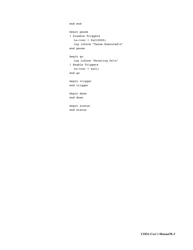```
end end
begin pause
! Disable Triggers
  ts - 5csr = 0x210000;log inform "Pause Executed\n"
end pause
begin go
  log inform "Entering Go\n"
! Enable Triggers
  ts - 5csr = 0x21;
end go
begin trigger
end trigger
begin done
end done
begin status
end status
```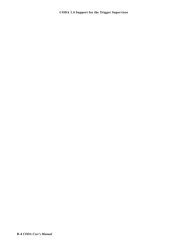**CODA 1.4 Support for the Trigger Supervisor**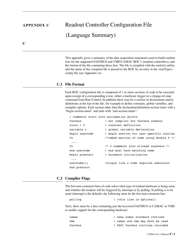**APPENDIX <sup>C</sup>** Readout Controller Configuration File

(Language Summary)

**C**

This appendix gives a summary of the data acquisition statements used to build readout lists for the supported FASTBUS and VME/CAMAC ROC's (readout controllers), and the format of the file containing these lists. The file is compiled with the *makelist* utility, and the name of the compiled file is passed to the ROC by an entry in the <runType>.config file (see Appendix A).

## **C.1 File Format**

Each ROC configuration file is composed of 1 or more sections of code to be executed upon receipt of a corresponding event, either a hardware trigger or a change-of-state command from Run Control. In addition there may be a section of declarations and/or definitions at the top of the file, for example to define constants, global variables, and compiler options. Each section other than the declaration/definition section starts with a "begin section-name" and ends with "end section-name":

```
! comments start with exclamation points
fastbus ! set compiler for fastbus readout
slots = 5 ! constant definition
variable i \qquad \qquad ! global variable declaration
begin usercode : begin section for user specific routine
%% /*imbed section of code using double % */
 ...
%% /* c comments also allowed anywhere */
end usercode : end must have matching name
begin prestart | hardware initialization
 ...
usercode(); \qquad \qquad !single line c code requires semicolon
end prestart
```
## **C.2 Compiler Flags**

The first non-comment lines of code select what type of readout hardware is being used, and whether the readout will be triggered by interrupt or by polling. If polling is to be used (interrupt is the default), the following must be the first non-comment line:

```
polling \qquad \qquad ! (this line is optional)
```
Next, there must be a line containing just the keyword FASTBUS or CAMAC or VME to enable support for the corresponding hardware:

| camac   | ! uses camac standard routines   |
|---------|----------------------------------|
| vme     | ! camac and vme may both be used |
| fastbus | ! FSCC fastbus routines included |

*CODA User's Manual* **C-1**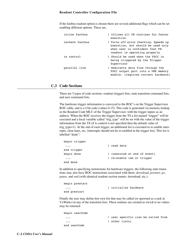## **Readout Controller Configuration File**

If the fastbus readout option is chosen there are several additional flags which can be set enabling different options. These are,

| inline fastbus  | ! Inlines all FB routines for faster<br>execution                                                                                              |
|-----------------|------------------------------------------------------------------------------------------------------------------------------------------------|
| nocheck fastbus | ! Turns off error checking. Speeds up<br>execution, but should be used only<br>when user is confident that FB<br>readout is operating properly |
| ts control      | ! Should be used when the FSCC is<br>being triggered by the Trigger<br>Supervisor                                                              |
| parallel link   | ! Redirects data flow through the<br>FSCC output port into a VME memory<br>module. (requires correct hardware)                                 |

## **C.3 Code Sections**

There are 3 types of code sections: readout (trigger) lists, state transition command lists, and user command lists.

The hardware trigger information is conveyed to the ROC's on the Trigger Supervisor ROC cable, and is a 4 bit code (values 0-15). This code is generated via memory lookup in the Readout Code MLU of the Trigger Supervisor, with the trigger inputs as an address. When the ROC receives the trigger from the TS a list named "trigger" will be executed and a local variable called "trig\_type" will be set with the value of the trigger information from the TS (if ts control is not specified then the default value of trig  $type=1$ ). At the end of each trigger, an additional list is executed to re-enable interrupts, clear lams, etc. (interrupts should not be re-enabled in the trigger list). This list is labelled "done":

| begin trigger |                              |
|---------------|------------------------------|
| $\cdots$      | ! read data                  |
| end trigger   |                              |
| begin done    | ! (executed at end of event) |
| $\cdots$      | ! re-enable lam or trigger   |
| end done      |                              |

In addition to specifying instructions for hardware triggers, the following state transitions may also have ROC instructions associated with them: *download*, *prestart*, *go*, *pause*, and *end* (with identical readout section names: download, etc.):

```
begin prestart
... ! initialize hardware
end prestart
```
Finally the user may define hist own list that may be called (or spawned as a task in VxWorks) in any of the transition lists. These routines are created as void so no values may be returned:

begin userCode ... ! user specific (can be called from ... ! other lists) end userCode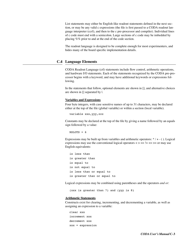List statements may either be English-like readout statements defined in the next section, or may be any valid c expressions (the file is first passed to a CODA readout language interpreter (ccrl), and then to the c pre-processor and compiler). Individual lines of c code must end with a semicolon. Large sections of c code may be imbedded by placing %% prior to and at the end of the code section.

The readout language is designed to be complete enough for most experimenters, and hides many of the board specific implementation details.

## **C.4 Language Elements**

CODA Readout Language (crl) statements include flow control, arithmetic operations, and hardware I/O statements. Each of the statements recognized by the CODA pre-processor begins with a keyword, and may have additional keywords or expressions following.

In the statements that follow, optional elements are shown in [], and alternative choices are shown in [] separated by |.

## **Variables and Expressions**

Four byte integers, with case sensitive names of up to 31 characters, may be declared either at the top of the file (global variable) or within a section (local variable).

```
variable xxx,yyy,zzz
```
Constants may be declared at the top of the file by giving a name followed by an equals sign followed by a value:

NSLOTS = 6

Expressions may be built up from variables and arithmetic operators:  $*/+$  - (). Logical expressions may use the conventional logical operators  $\langle \rangle = \rangle = \langle \rangle = \rangle$  or may use English equivalents:

```
is less than
is greater than
is equal to
is not equal to
is less than or equal to
is greater than or equal to
```
Logical expressions may be combined using parentheses and the operators *and or*:

```
(xxx is greater than 7) and (yyy is 8)
```
### **Arithmetic Statements**

Constructs exist for clearing, incrementing, and decrementing a variable, as well as assigning an expression to a variable:

clear xxx increment xxx decrement xxx xxx = expression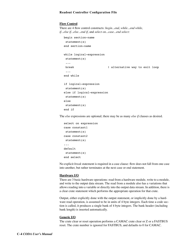## **Readout Controller Configuration File**

## **Flow Control**

```
There are 4 flow control constructs: begin...end, while...end while,
if...else if...else...end if, and select on...case...end select:
  begin section-name
     statement(s)
  end section-name
  while logical-expression
     statement(s)
     ...
   break \qquad \qquad ! alternative way to exit loop
     ...
  end while
  if logical-expression
     statement(s)
  else if logical-expression
     statement(s)
  else
     statement(s)
  end if
```
The *else* expressions are optional; there may be as many *else if* clauses as desired.

```
select on expression
case constant1
  statement(s)
case constant2
  statement(s)
...
default
  statement(s)
end select
```
No explicit *break* statement is required in a case clause: flow does not fall from one case into another, but rather terminates at the next case or end statement.

## **Hardware I/O**

There are 3 basic hardware operations: read from a hardware module, write to a module, and write to the output data stream. The read from a module also has a variations that allows reading into a variable or directly into the output data stream. In addition, there is a clear crate statement which performs the appropriate operation for that crate.

Output, either explicitly done with the output statement, or implicitly done by a hardware read operation, is assumed to be in units of 4 byte integers. Each time a code section is called, it produces a single bank of 4 byte integers. The bank header (including bank length) is inserted automatically.

## **Generic I/O**

The crate clear or reset operation performs a CAMAC crate clear or Z or a FASTBUS reset. The crate number is ignored for FASTBUS, and defaults to 0 for CAMAC.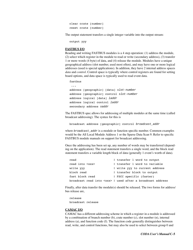```
clear crate [number]
reset crate [number]
```
The output statement transfers a single integer variable into the output stream:

output yyy

## **FASTBUS I/O**

Reading and writing FASTBUS modules is a 4 step operation: (1) address the module, (2) select which register in the module to read or write (secondary address), (3) transfer 1 or more words (4 byte) of data, and (4) release the module. Modules have a unique geographical address (slot number, used most often), and may have one or more logical addresses (used is special applications). In addition, they have 2 internal address spaces *data* and *control*. Control space is typically where control registers are found for setting board options, and data space is typically used to read event data.

fastbus

```
...
address [geographic] [data] slot-number
address [geographic] control slot-number
address logical [data] laddr
address logical control laddr
secondary address saddr
```
The FASTBUS spec allows for addressing of multiple modules at the same time (called broadcast addressing). The syntax for this is

broadcast address [geographic] control broadcast\_addr

where *broadcast\_addr* is a module or function specific number. Common examples would be the All Local Module Address 1 or the Sparse Data Scan 9. Refer to specific FASTBUS module manuals on support for broadcast addressing.

Once the addressing has been set up, any number of words may be transferred (depending on the application). The read statement transfers a single word, and the block read statement transfers a variable length block of data (generally 1 event's worth of data).

| read                  | ! transfer 1 word to output                                     |
|-----------------------|-----------------------------------------------------------------|
| read into <xxx></xxx> | ! transfer 1 word to variable                                   |
| write yyy             | ! write yyy to current address                                  |
| block read            | ! transfer block to output                                      |
| fast block read       | ! FSCC specific (faster)                                        |
|                       | broadcast read into <xxx>! used after a broadcast address</xxx> |

Finally, after data transfer the module(s) should be released. The two forms for address/ bus release are,

release broadcast release

## **CAMAC I/O**

CAMAC has a different addressing scheme in which a register in a module is addressed by a combination of branch number (b), crate number (c), slot number (n), internal address (a), and function code (f). The function code generally distinguishes between read, write, and control functions, but may also be used to select between group 0 and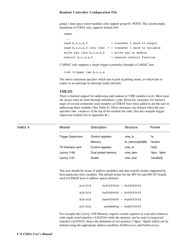## **Readout Controller Configuration File**

group 1 data space (most modules only support group 0). NOTE: The current implementation of CODA only supports branch b=0.

| camac                    |                                                                               |
|--------------------------|-------------------------------------------------------------------------------|
| $\cdot\cdot\cdot$        |                                                                               |
| read b,c,n,a,f           | ! transfer 1 word to output                                                   |
|                          | read $b, c, n, a, f$ into $\langle xxx \rangle$ ! transfer 1 word to variable |
| write yyy into b,c,n,a,f | ! write yyy to module                                                         |
| control $b, c, n, a, f$  | : execute control function                                                    |

CAMAC only supports a single trigger (currently) through a CAMAC lam:

link trigger lam b, c, n, a

The above statement specifies which lam to poll in polling mode, or which lam to expect as an interrupt in interrupt mode (default).

## **VME I/O**

There is limited support for addressing and readout of VME modules in crl. Most module access must be done through imbedded c code. However, structures for memory maps of several commonly used modules at CEBAF have been added to aid the user in addressing these modules (See Table 8). These structures are defined when the user specifies vme readout at the top of his readout list code. (See the example trigger supervisor readout list in Appendix B.)

| TABLE 8 | Module                    | Description        | Structure       | Pointer     |
|---------|---------------------------|--------------------|-----------------|-------------|
|         | <b>Trigger Supervisor</b> | Control registers  | vme ts          | *ts         |
|         |                           | Memory             | ts_memory[4096] | *tsmem      |
|         | TS Interface card         | Control registers  | vme tir         | $*$ tir[2]  |
|         | Lecroy 1190               | Dual ported memory | vme_dpm         | *dpm, *dpml |
|         | Lecroy 1151               | Scaler             | vme scal        | *vscal[32]  |

The user should be aware of address modifiers and data transfer modes supported by their particular slave modules. The default kernel for the MV162 and MV167 boards used at CEBAF have 4 address spaces defined:

| A16/D16 | $0xffff0000 - 0xffffffff$ |                        |
|---------|---------------------------|------------------------|
| A24/D16 | $0xf0000000 - 0xf0ffffff$ |                        |
| A24/D32 | $0xe0000000 - 0xe0ffffff$ |                        |
| A32/D32 |                           | sysMemTop - 0xdfffffff |

For example the Lecroy 1190 Memory requires certain registers to read and written to with single word transfers (A24/D16) while the memory can be read via longword transfers (A24/D32), hence the definition of two pointers (\*dpm, \*dpml) which can be defined using the appropriate address modifiers (0xf0xxxxxx and 0xe0xxxxxx).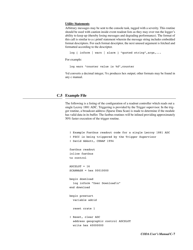## **Utility Statements**

Arbitrary messages may be sent to the console task, tagged with a severity. This routine should be used with caution inside event readout lists as they may over run the logger's ability to keep up (thereby losing messages and degrading performance). The format of this call is similar to a c printf statement wherein the message string includes embedded format descriptors. For each format descriptor, the next unused argument is fetched and formatted according to the descriptor.

log [ inform | warn | alarm ] "quoted string", args, ...

For example:

log warn "counter value is %d",counter

%d converts a decimal integer, %x produces hex output; other formats may be found in any c manual.

## **C.5 Example File**

The following is a listing of the configuration of a readout controller which reads out a single Lecroy 1881 ADC. Triggering is provided by the Trigger supervisor. In the trigger routine, a broadcast address (Sparse Data Scan) is made to determine if the module has valid data in its buffer. The fastbus routines will be inlined providing approximately 50% faster execution of the trigger routine.

```
! Example Fastbus readout code for a single Lecroy 1881 ADC
! FSCC is being triggered by the Trigger Supervisor
! David Abbott, CEBAF 1994
fastbus readout
inline fastbus
ts control
ADCSLOT = 16SCANMASK = hex 00010000begin download
   log inform "User Download\n"
end download
begin prestart
   variable adcid
   reset crate 1
! Reset, clear ADC
   address geographic control ADCSLOT
```
write hex 40000000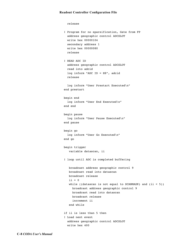## **Readout Controller Configuration File**

```
 release
! Program for no sparsification, Gate from FP
   address geographic control ADCSLOT
   write hex 00000104
   secondary address 1
   write hex 00000080
   release
! READ ADC ID
   address geographic control ADCSLOT
   read into adcid
   log inform "ADC ID = H8", adcid
   release
   log inform "User Prestart Executed\n"
end prestart
begin end
   log inform "User End Executed\n"
end end
begin pause
   log inform "User Pause Executed\n"
end pause
begin go
   log inform "User Go Executed\n"
end go
begin trigger
    variable datascan, ii
! loop until ADC is completed buffering
    broadcast address geographic control 9
    broadcast read into datascan
    broadcast release
   ii = 0while ((datascan is not equal to SCANMASK) and (ii < 5))
      broadcast address geographic control 9
      broadcast read into datascan
      broadcast release
      increment ii
    end while
if ii is less than 5 then
! Load next event
   address geographic control ADCSLOT
   write hex 400
```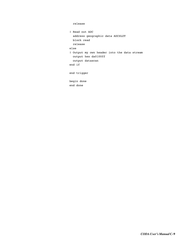release

```
! Read out ADC
  address geographic data ADCSLOT
  block read
  release
else
! Output my own header into the data stream
  output hex da0100ff
  output datascan
end if
end trigger
begin done
end done
```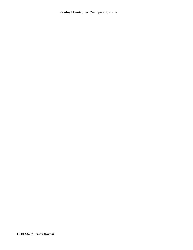## **Readout Controller Configuration File**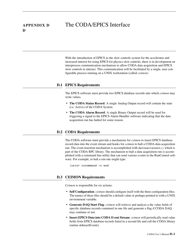## **APPENDIX <sup>D</sup>** The CODA/EPICS Interface

With the introduction of EPICS as the slow controls system for the accelerator and increased interest for using EPICS for physics slow controls, there is in development an interprocess communication mechanism to allow CODA data acquisition and EPICS slow controls to interact. This communication will be facilitated by a single, user configurable process running on a UNIX workstation (called *ceimon*).

## **D.1 EPICS Requirements**

**D**

The EPICS software must provide two EPICS database records into which *ceimon* may write values.

- **The CODA Status Record**: A single Analog Output record will contain the state (i.e. Active) of the CODA System.
- **The CODA Alarm Record**: A single Binary Output record will be used for triggering a signal to the EPICS Alarm Handler software indicating that the data acquisition run has halted for some reason.

## **D.2 CODA Requirements**

The CODA software must provide a mechanism for *ceimon* to insert EPICS database record data into the event stream and hooks for *ceimon* to halt a CODA data acquisition run. The event insertion mechanism is accomplished with daInsertevent() which is part of the CODA RPC library. The mechanism to halt a data acquisition run is accomplished with a command line utility that can send various events to the RunControl software. For example, to halt a run one might type:

|unix> rccommand -c end

## **D.3 CEIMON Requirements**

*Ceimon* is responsible for six actions.

- **Self Configuration**: *ceimon* should configure itself with the three configuration files. The names of these files should be a default value or perhaps pointed to with a UNIX environment variable.
- **Generate DAQ Start Flag**: *ceimon* will retrieve and analyze a the value fields of specific database records contained in one file and generate a flag if CODA DAQ may continue or not.
- **Insert EPICS Data into CODA Event Stream**: *ceimon* will periodically read value fields from EPICS database records listed in a second file and call the CODA library routine daInsertEvent().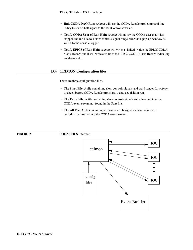## **The CODA/EPICS Interface**

- **Halt CODA DAQ Run**: *ceimon* will use the CODA RunControl command line utility to send a halt signal to the RunControl software.
- **Notify CODA User of Run Halt**: *ceimon* will notify the CODA user that it has stopped the run due to a slow controls signal range error via a pop-up window as well a to the console logger.
- **Notify EPICS of Run Halt**: *ceimon* will write a "halted" value the EPICS CODA Status Record and it will write a value to the EPICS CODA Alarm Record indicating an alarm state.

## **D.4 CEIMON Configuration files**

There are three configuration files.

- **The Start File**: A file containing slow controls signals and valid ranges for *ceimon* to check before CODA RunControl starts a data acquisition run.
- **The Extra File**: A file containing slow controls signals to be inserted into the CODA event stream not found in the Start file.
- **The All File**: A file containing all slow controls signals whose values are periodically inserted into the CODA event stream.

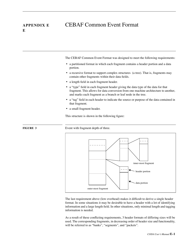# **APPENDIX <sup>E</sup>** CEBAF Common Event Format

The CEBAF Common Event Format was designed to meet the following requirements:

- a partitioned format in which each fragment contains a header portion and a data portion.
- a recursive format to support complex structures (a tree). That is, fragments may contain other fragments within their data fields.
- a length field in each fragment header.
- a "type" field in each fragment header giving the data type of the data for that fragment. This allows for data conversion from one machine architecture to another, and marks each fragment as a branch or leaf node in the tree.
- a "tag" field in each header to indicate the source or purpose of the data contained in that fragment.
- a small fragment header.

This structure is shown in the following figure:

**FIGURE 3** Event with fragment depth of three.



The last requirement above (low overhead) makes it difficult to derive a single header format. In some situations it may be desirable to have a header with a lot of identifying information and a large length field. In other situations, only minimal length and tagging information is needed.

As a result of these conflicting requirements, 3 header formats of differing sizes will be used. The corresponding fragments, in decreasing order of header size and functionality, will be referred to as "banks", "segments", and "packets".

**E**

*CODA User's Manual* **E-1**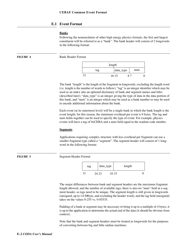## **E.1 Event Format**

## **Banks**

Following the nomenclature of other high energy physics formats, the first and largest constituent will be referred to as a "bank". The bank header will consist of 2 longwords in the following format:

**FIGURE 4** Bank Header Format

|     | length |           |     |  |
|-----|--------|-----------|-----|--|
| tag |        | data_type | num |  |
|     |        | 16 15     |     |  |

The bank "length" is the length of the fragment in longwords, excluding the length word (i.e. length is the number of words to follow); "tag" is an integer identifier which may be used as an index into an optional dictionary of bank and segment names and titles (described later); "data\_type" is an integer giving the type of data in the data portion of this bank, and "num" is an integer which may be used as a bank number or may be used to encode additional information about the bank.

Each event (at its outermost level) will be a single bank in which the bank length is the event length; for this reason, the minimum overhead per event is 8 bytes. The tag and num fields together can be used to specify the type of event. For example, physics events will have a tag of 0xCEBA and a num field equal to the readout code number.

## **Segments**

Applications requiring complex structure with less overhead per fragment can use a smaller fragment type called a "segment". The segment header will consist of 1 longword in the following format:

**FIGURE 5** Segment Header Format



The major differences between bank and segment headers are the maximum fragment length allowed, and the number of available tags; there is also no "num" field in a segment header, so tags need to be unique. The segment length is still given in longwords (unsigned, up to 1/4 Mbyte, and excluding the header word), and the tag field (unsigned) takes on the values 0-255 vs. 0-65535.

Padding of a bank or segment may be necessary to bring it up to a multiple of 4 bytes; it is up to the application to determine the actual end of the data (it should be obvious from context).

Note that the bank and segment headers must be treated as longwords for the purposes of converting between big and little endian machines.

**E-2** *CODA User's Manual*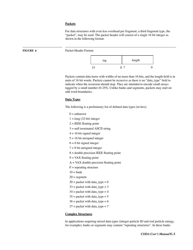## **Packets**

For data structures with even less overhead per fragment, a third fragment type, the "packet", may be used. The packet header will consist of a single 16 bit integer as shown in the following format:

**FIGURE 6** Packet Header Format



Packets contain data items with widths of no more than 16 bits, and the length field is in units of 16 bit words. Packets cannot be recursive as there is no "data\_type" field to indicate when the recursion should stop. They are intended to encode small arrays tagged by a small number (0-255). Unlike banks and segments, packets may start on odd word boundaries.

## **Data Types**

The following is a preliminary list of defined data types (in hex):

- $0 =$ unknown
- $1 = \text{long} (32 \text{ bit})$  integer
- $2 =$  IEEE floating point
- $3$  = null terminated ASCII string
- $4 = 16$  bit signed integer
- $5 = 16$  bit unsigned integer
- $6 = 8$  bit signed integer
- $7 = 8$  bit unsigned integer
- 8 = double precision IEEE floating point
- $9 = VAX$  floating point
- $A = VAX$  double precision floating point
- $F =$  repeating structure
- $10 =$ bank
- $20 =$  segment
- $30 =$  packet with data\_type = 0
- $33 =$  packet with data\_type = 3
- $34 =$  packet with data\_type = 4
- $35$  = packet with data\_type = 5
- $36$  = packet with data\_type = 6
- $37 =$  packet with data\_type = 7

### **Complex Structures**

In applications requiring mixed data types (integer particle ID and real particle energy, for example), banks or segments may contain "repeating structures". In these banks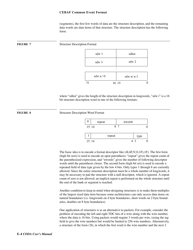## **CEBAF Common Event Format**

(segments), the first few words of data are the structure description, and the remaining data words are data items of that structure. The structure description has the following form:

# **FIGURE 7** Structure Description Format sdw 1 sdlen sdw 3 sdw 2 sdw  $n / 0$  sdw  $n / n-1$ 31 16 15 0

where "sdlen" gives the length of the structure description in longwords, "sdw i" is a 16 bit structure description word in one of the following formats:

**FIGURE 8** Structure Description Word Format



The basic idea is to encode a format descriptor like (4I,4F,5(1I,1F),1F). The first form (high bit zero) is used to encode an open parenthesis: "repeat" gives the repeat count of the parenthesized expression, and "nwords" gives the number of following descriptor words until the parenthesis closes. The second form (high bit set) is used to encode a repeated field of data type given by the low 4 bits. Only types 1 through 8 are currently allowed. Since the entire structure description must be a whole number of longwords, it may be necessary to pad the structure with a null descriptor, which is ignored. A repeat count of zero is not allowed; an implicit repeat is performed on the whole structure until the end of the bank or segment is reached.

Another condition to keep in mind when designing structures is to make them multiples of the largest sized data item because some architectures can only access data items on natural boundaries (i.e. longwords on 4 byte boundaries, short words on 2 byte boundaries, doubles on 8 byte boundaries).

One application of structures is as an alternative to packets. For example, consider the problem of encoding the left and right TDC hits of a wire along with the wire number, where the data is 16 bits. Using packets would require 3 words per wire, (using the tag field to give the wire number) but would be limited to 256 wire numbers. Alternatively, a structure of the form (3I), in which the first word is the wire number and the next 2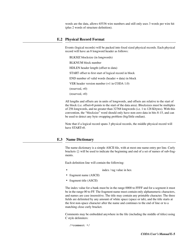words are the data, allows 65536 wire numbers and still only uses 3 words per wire hit (plus 2 words of structure definition).

## **E.2 Physical Record Format**

Events (logical records) will be packed into fixed sized physical records. Each physical record will have an 8 longword header as follows:

BLKSIZ blocksize (in longwords) BLKNUM block number HDLEN header length (offset to data) START offset to first start of logical record in block END number of valid words (header + data) in block VER header version number (=1 in CODA 1.0)  $(reserved, =0)$  $(reserved, =0)$ 

All lengths and offsets are in units of longwords, and offsets are relative to the start of the block (i.e. offset=8 points to the start of the data area). Blocksizes must be multiples of 256 longwords, and no greater than 32768 longwords (i.e. 1 to 128 Kbytes). With this convention, the "blocksize" word should only have non-zero data in bits 8-15, and can be used to detect any byte swapping problem (big/little endian).

Note that if a logical record spans 3 physical records, the middle physical record will have START=0.

## **E.3 Name Dictionary**

The name dictionary is a simple ASCII file, with at most one name entry per line. Curly brackets {} will be used to indicate the beginning and end of a set of names of sub-fragments.

Each definition line will contain the following:

- index / tag value in hex
- fragment name (ASCII)
- fragment title (ASCII)

The index value for a bank must be in the range 0000 to FFFF and for a segment it must be in the range 00 to FF. The fragment name must contain only alphanumeric characters, and names are case insensitive. The title may contain any printable character. The three fields are delimited by any amount of white space (space or tab), and the title starts at the first non-space character after the name and continues to the end of line or to a matching close curly bracket.

Comments may be embedded anywhere in the file (including the middle of titles) using C style delimiters:

/\*comment \*/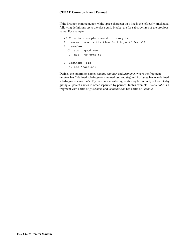## **CEBAF Common Event Format**

If the first non-comment, non-white space character on a line is the left curly bracket, all following definitions up to the close curly bracket are for substructures of the previous name. For example:

```
/* This is a sample name dictionary */
1 aname now is the time /* I hope */ for all
2 another
  {1 abc good men
  2 def to come to
 }
3 lastname (sic)
  {99 abc "handle"}
```
Defines the outermost names *aname*, *another*, and *lastname*, where the fragment *another* has 2 defined sub-fragments named *abc* and *def*, and *lastname* has one defined sub-fragment named *abc*. By convention, sub-fragments may be uniquely referred to by giving all parent names in order separated by periods. In this example, *another*.*abc* is a fragment with a title of *good men*, and *lastname.abc* has a title of *"handle"*.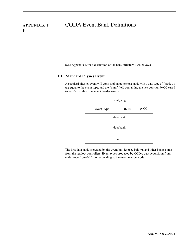## **APPENDIX <sup>F</sup>** CODA Event Bank Definitions **F**

(See Appendix E for a discussion of the bank structure used below.)

## **F.1 Standard Physics Event**

A standard physics event will consist of an outermost bank with a data type of "bank", a tag equal to the event type, and the "num" field containing the hex constant 0xCC (used to verify that this is an event header word):

| event_length               |  |  |  |  |
|----------------------------|--|--|--|--|
| 0xCC<br>0x10<br>event_type |  |  |  |  |
| data bank                  |  |  |  |  |
| data bank                  |  |  |  |  |
|                            |  |  |  |  |

The first data bank is created by the event builder (see below), and other banks come from the readout controllers. Event types produced by CODA data acquisition front ends range from 0-15, corresponding to the event readout code.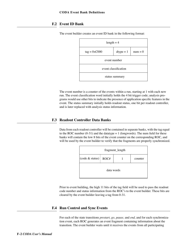## **F.2 Event ID Bank**

| length $= 4$                               |  |  |  |  |
|--------------------------------------------|--|--|--|--|
| $tag = 0xC000$<br>$dtype = 1$<br>$num = 0$ |  |  |  |  |
| event number                               |  |  |  |  |
| event classification                       |  |  |  |  |
| status summary                             |  |  |  |  |

The event builder creates an event ID bank in the following format:

The event number is a counter of the events within a run, starting at 1 with each new run. The event classification word initially holds the 4 bit trigger code; analysis programs would use other bits to indicate the presence of application specific features in the event. The status summary initially holds readout status, one bit per readout controller, and is later replaced with analysis status information.

## **F.3 Readout Controller Data Banks**

Data from each readout controller will be contained in separate banks, with the tag equal to the ROC number  $(0-31)$  and the datatype = 1 (longwords). The num field for these banks will contain the low 8 bits of the event counter on the corresponding ROC, and will be used by the event builder to verify that the fragments are properly synchronized.



Prior to event building, the high 11 bits of the tag field will be used to pass the readout code number and status information from the ROC's to the event builder. These bits are cleared by the event builder leaving a tag from 0-31.

## **F.4 Run Control and Sync Events**

For each of the state transitions *prestart, go, pause,* and *end,* and for each synchronization event, each ROC generates an event fragment containing information about the transition. The event builder waits until it receives the events from all participating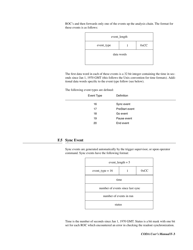ROC's and then forwards only one of the events up the analysis chain. The format for these events is as follows:



The first data word in each of these events is a 32 bit integer containing the time in seconds since Jan 1, 1970 GMT (this follows the Unix convention for time formats). Additional data words specific to the event type follow (see below).

The following event types are defined:

| Event Type | Definition            |
|------------|-----------------------|
| 16         | Sync event            |
| 17         | <b>PreStart event</b> |
| 18         | Go event              |
| 19         | Pause event           |
| 20         | End event             |

## **F.5 Sync Event**

Sync events are generated automatically by the trigger supervisor, or upon operator command. Sync events have the following format:

| event_length = $5$               |  |  |  |
|----------------------------------|--|--|--|
| 0xCC<br>event_type = $16$        |  |  |  |
| time                             |  |  |  |
| number of events since last sync |  |  |  |
| number of events in run          |  |  |  |
| status                           |  |  |  |

Time is the number of seconds since Jan 1, 1970 GMT. Status is a bit mask with one bit set for each ROC which encountered an error in checking the readout synchronization.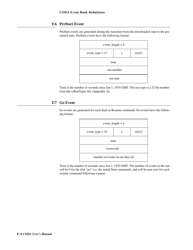## **F.6 PreStart Event**

PreStart events are generated during the transition from the downloaded state to the prestarted state. PreStart events have the following format:

| event_length = $4$ |  |      |  |
|--------------------|--|------|--|
| event_type = $17$  |  | 0xCC |  |
| time               |  |      |  |
| run number         |  |      |  |
| run type           |  |      |  |

Time is the number of seconds since Jan 1, 1970 GMT. The run type is a 32 bit number from the rcRunTypes file (Appendix A).

## **F.7 Go Event**

Go events are generated for each Start or Resume command. Go events have the following format:



Time is the number of seconds since Jan 1, 1970 GMT. The number of events in the run will be 0 for the first "go" (i.e. the initial Start command), and will be non-zero for each resume command following a pause.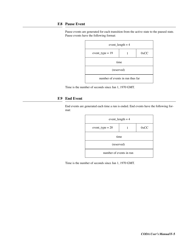## **F.8 Pause Event**

 $event_length = 4$ event\_type =  $19 \t 1$ time 0xCC (reserved) number of events in run thus far

Pause events are generated for each transition from the active state to the paused state. Pause events have the following format:

Time is the number of seconds since Jan 1, 1970 GMT.

## **F.9 End Event**

End events are generated each time a run is ended. End events have the following format:

| event_length = $4$        |  |  |  |  |
|---------------------------|--|--|--|--|
| 0xCC<br>event_type = $20$ |  |  |  |  |
| time                      |  |  |  |  |
| (reserved)                |  |  |  |  |
| number of events in run   |  |  |  |  |

Time is the number of seconds since Jan 1, 1970 GMT.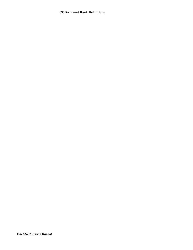## **CODA Event Bank Definitions**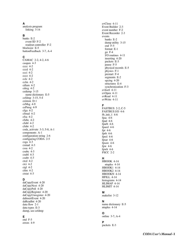## **A**

analysis program linking 3-14

### **B**

banks E-2 event ID F-2 readout controller F-2 blocksize E-5 buttonFeedback 3-7, A-4

## **C**

CAMAC 2-2, 4-2, 4-6 caopen 4-3  $ccc\bar{c}$  4-2 cccd 4-2 ccci 4-2 cccz 4-2 cclc 4-2 cclm 4-2 cdlam 4-2 cdreg 4-2 cedump 3-15 name dictionary E-5 cefdmp 3-15, 5-4 ceimon D-1 ceMsg 4-9 cePmsg 4-9 cfga 4-2 cfmad 4-2 cfsa 4-2 cfubc 4-2 cfubl 4-2 cfubr 4-2 coda\_activate 3-3, 5-8, A-1 components A-1 configuration string 2-6 configuring CODA 2-5 csga 4-3 csmad 4-3 cssa 4-2 csubc 4-3 csubl 4-3 csubr 4-3 ctcd 4-2 ctci 4-2 ctgl 4-2 ctlm 4-2 ctstat 4-3

## **D**

daCopyEvent 4-20 daCopyNext 4-20 daCopyPoll 4-20 daCopyRegister 4-20 daCopyUnregister 4-20 daInsertEvent 4-20 daReadInt 4-20 data flow 2-1 data types E-3 dump, see cefdmp

### **E**

end F-5 errors 4-9

evClose 4-11 Event Builder 2-3 event number F-2 Event Recorder 2-3 events banks E-2 dump utility 3-15 end F-5 format E-1 go F-4 I/O routines 4-11 inserting 4-20 packets E-3 pause F-5 physical records E-5 physics F-1 prestart F-4 segments E-2 spying 4-20 structures E-4 synchronization F-3 evIoctl 4-11 evOpen 4-11 evRead 4-11 evWrite 4-11

## **F**

FASTBUS 2-2, C-5 FASTBUS I/O 4-6 fb\_init\_1 4-6 fpac 4-6 fpad 4-6 fparb 4-6 fparel 4-6 fpr 4-6 fprb 4-6 fprel 4-6 fpsar 4-6 fpsaw 4-6  $f$ pw 4-6 fpwb 4-6 FSCC 2-2

#### **H** HBOOK 4-14

ntuples 4-14 HBOOK1 4-14 HBOOK2 4-14 HBOOKN 4-14 HFILL 4-14 histograms 4-14 HLIMAP 4-14 HLIMIT 4-14

## **M**

makelist 3-12

# **N**

name dictionary E-5 ntuples 4-14

#### **O** online 3-7, A-4

## **P**

packets E-3